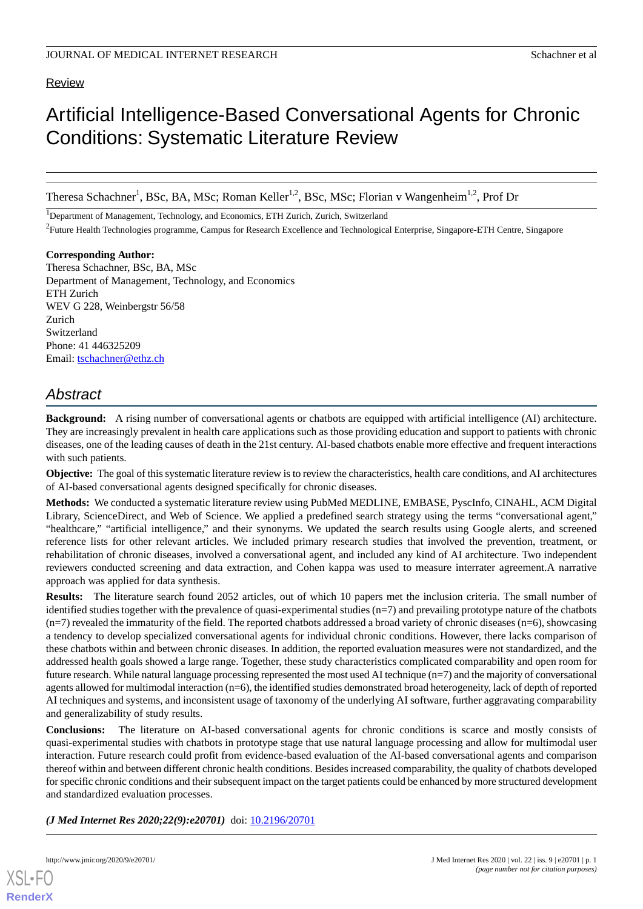# Review

# Artificial Intelligence-Based Conversational Agents for Chronic Conditions: Systematic Literature Review

Theresa Schachner<sup>1</sup>, BSc, BA, MSc; Roman Keller<sup>1,2</sup>, BSc, MSc; Florian v Wangenheim<sup>1,2</sup>, Prof Dr

<sup>1</sup>Department of Management, Technology, and Economics, ETH Zurich, Zurich, Switzerland

<sup>2</sup>Future Health Technologies programme, Campus for Research Excellence and Technological Enterprise, Singapore-ETH Centre, Singapore

**Corresponding Author:**

Theresa Schachner, BSc, BA, MSc Department of Management, Technology, and Economics ETH Zurich WEV G 228, Weinbergstr 56/58 Zurich Switzerland Phone: 41 446325209 Email: [tschachner@ethz.ch](mailto:tschachner@ethz.ch)

# *Abstract*

**Background:** A rising number of conversational agents or chatbots are equipped with artificial intelligence (AI) architecture. They are increasingly prevalent in health care applications such as those providing education and support to patients with chronic diseases, one of the leading causes of death in the 21st century. AI-based chatbots enable more effective and frequent interactions with such patients.

**Objective:** The goal of this systematic literature review is to review the characteristics, health care conditions, and AI architectures of AI-based conversational agents designed specifically for chronic diseases.

**Methods:** We conducted a systematic literature review using PubMed MEDLINE, EMBASE, PyscInfo, CINAHL, ACM Digital Library, ScienceDirect, and Web of Science. We applied a predefined search strategy using the terms "conversational agent," "healthcare," "artificial intelligence," and their synonyms. We updated the search results using Google alerts, and screened reference lists for other relevant articles. We included primary research studies that involved the prevention, treatment, or rehabilitation of chronic diseases, involved a conversational agent, and included any kind of AI architecture. Two independent reviewers conducted screening and data extraction, and Cohen kappa was used to measure interrater agreement.A narrative approach was applied for data synthesis.

**Results:** The literature search found 2052 articles, out of which 10 papers met the inclusion criteria. The small number of identified studies together with the prevalence of quasi-experimental studies (n=7) and prevailing prototype nature of the chatbots  $(n=7)$  revealed the immaturity of the field. The reported chatbots addressed a broad variety of chronic diseases  $(n=6)$ , showcasing a tendency to develop specialized conversational agents for individual chronic conditions. However, there lacks comparison of these chatbots within and between chronic diseases. In addition, the reported evaluation measures were not standardized, and the addressed health goals showed a large range. Together, these study characteristics complicated comparability and open room for future research. While natural language processing represented the most used AI technique (n=7) and the majority of conversational agents allowed for multimodal interaction (n=6), the identified studies demonstrated broad heterogeneity, lack of depth of reported AI techniques and systems, and inconsistent usage of taxonomy of the underlying AI software, further aggravating comparability and generalizability of study results.

**Conclusions:** The literature on AI-based conversational agents for chronic conditions is scarce and mostly consists of quasi-experimental studies with chatbots in prototype stage that use natural language processing and allow for multimodal user interaction. Future research could profit from evidence-based evaluation of the AI-based conversational agents and comparison thereof within and between different chronic health conditions. Besides increased comparability, the quality of chatbots developed for specific chronic conditions and their subsequent impact on the target patients could be enhanced by more structured development and standardized evaluation processes.

*(J Med Internet Res 2020;22(9):e20701)* doi:  $10.2196/20701$ 

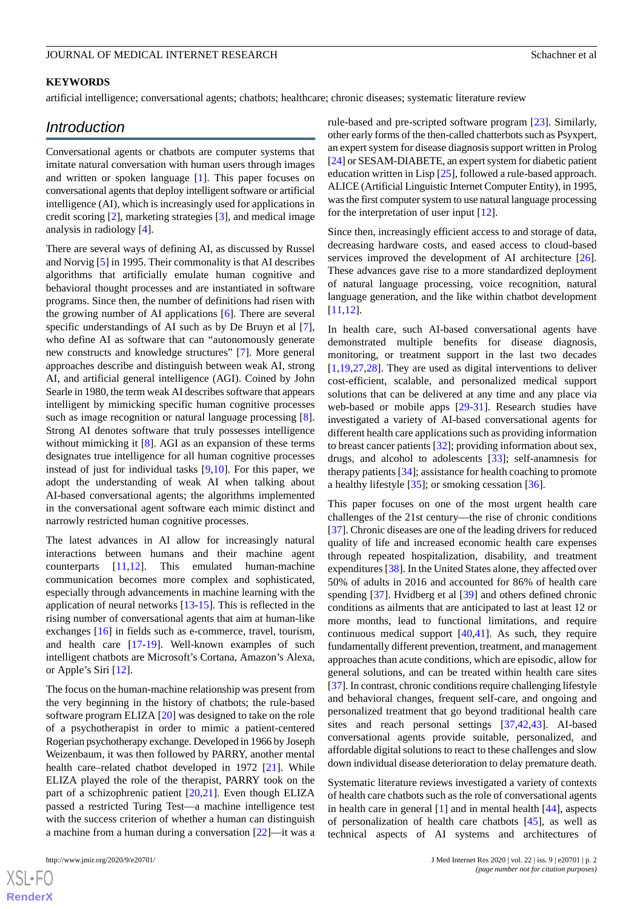#### **KEYWORDS**

artificial intelligence; conversational agents; chatbots; healthcare; chronic diseases; systematic literature review

# *Introduction*

Conversational agents or chatbots are computer systems that imitate natural conversation with human users through images and written or spoken language [\[1](#page-12-0)]. This paper focuses on conversational agents that deploy intelligent software or artificial intelligence (AI), which is increasingly used for applications in credit scoring [\[2](#page-12-1)], marketing strategies [[3\]](#page-12-2), and medical image analysis in radiology [[4\]](#page-12-3).

There are several ways of defining AI, as discussed by Russel and Norvig [[5\]](#page-12-4) in 1995. Their commonality is that AI describes algorithms that artificially emulate human cognitive and behavioral thought processes and are instantiated in software programs. Since then, the number of definitions had risen with the growing number of AI applications [[6\]](#page-12-5). There are several specific understandings of AI such as by De Bruyn et al [[7\]](#page-12-6), who define AI as software that can "autonomously generate new constructs and knowledge structures" [\[7](#page-12-6)]. More general approaches describe and distinguish between weak AI, strong AI, and artificial general intelligence (AGI). Coined by John Searle in 1980, the term weak AI describes software that appears intelligent by mimicking specific human cognitive processes such as image recognition or natural language processing [[8\]](#page-12-7). Strong AI denotes software that truly possesses intelligence without mimicking it [[8\]](#page-12-7). AGI as an expansion of these terms designates true intelligence for all human cognitive processes instead of just for individual tasks [\[9](#page-12-8),[10\]](#page-12-9). For this paper, we adopt the understanding of weak AI when talking about AI-based conversational agents; the algorithms implemented in the conversational agent software each mimic distinct and narrowly restricted human cognitive processes.

The latest advances in AI allow for increasingly natural interactions between humans and their machine agent counterparts [[11,](#page-12-10)[12](#page-12-11)]. This emulated human-machine communication becomes more complex and sophisticated, especially through advancements in machine learning with the application of neural networks [\[13](#page-12-12)-[15\]](#page-12-13). This is reflected in the rising number of conversational agents that aim at human-like exchanges [\[16](#page-12-14)] in fields such as e-commerce, travel, tourism, and health care [[17](#page-12-15)[-19](#page-12-16)]. Well-known examples of such intelligent chatbots are Microsoft's Cortana, Amazon's Alexa, or Apple's Siri [\[12](#page-12-11)].

The focus on the human-machine relationship was present from the very beginning in the history of chatbots; the rule-based software program ELIZA [[20\]](#page-12-17) was designed to take on the role of a psychotherapist in order to mimic a patient-centered Rogerian psychotherapy exchange. Developed in 1966 by Joseph Weizenbaum, it was then followed by PARRY, another mental health care–related chatbot developed in 1972 [\[21](#page-12-18)]. While ELIZA played the role of the therapist, PARRY took on the part of a schizophrenic patient [\[20](#page-12-17),[21\]](#page-12-18). Even though ELIZA passed a restricted Turing Test—a machine intelligence test with the success criterion of whether a human can distinguish a machine from a human during a conversation [[22\]](#page-12-19)—it was a

 $XS$ -FO **[RenderX](http://www.renderx.com/)** rule-based and pre-scripted software program [[23\]](#page-12-20). Similarly, other early forms of the then-called chatterbots such as Psyxpert, an expert system for disease diagnosis support written in Prolog [[24\]](#page-12-21) or SESAM-DIABETE, an expert system for diabetic patient education written in Lisp [\[25](#page-12-22)], followed a rule-based approach. ALICE (Artificial Linguistic Internet Computer Entity), in 1995, was the first computer system to use natural language processing for the interpretation of user input [\[12](#page-12-11)].

Since then, increasingly efficient access to and storage of data, decreasing hardware costs, and eased access to cloud-based services improved the development of AI architecture [[26\]](#page-12-23). These advances gave rise to a more standardized deployment of natural language processing, voice recognition, natural language generation, and the like within chatbot development [[11,](#page-12-10)[12\]](#page-12-11).

In health care, such AI-based conversational agents have demonstrated multiple benefits for disease diagnosis, monitoring, or treatment support in the last two decades [[1](#page-12-0)[,19](#page-12-16),[27,](#page-12-24)[28\]](#page-13-0). They are used as digital interventions to deliver cost-efficient, scalable, and personalized medical support solutions that can be delivered at any time and any place via web-based or mobile apps [\[29](#page-13-1)[-31](#page-13-2)]. Research studies have investigated a variety of AI-based conversational agents for different health care applications such as providing information to breast cancer patients [\[32](#page-13-3)]; providing information about sex, drugs, and alcohol to adolescents [\[33](#page-13-4)]; self-anamnesis for therapy patients [[34\]](#page-13-5); assistance for health coaching to promote a healthy lifestyle [\[35](#page-13-6)]; or smoking cessation [\[36](#page-13-7)].

This paper focuses on one of the most urgent health care challenges of the 21st century—the rise of chronic conditions [[37\]](#page-13-8). Chronic diseases are one of the leading drivers for reduced quality of life and increased economic health care expenses through repeated hospitalization, disability, and treatment expenditures [[38\]](#page-13-9). In the United States alone, they affected over 50% of adults in 2016 and accounted for 86% of health care spending [\[37](#page-13-8)]. Hvidberg et al [[39\]](#page-13-10) and others defined chronic conditions as ailments that are anticipated to last at least 12 or more months, lead to functional limitations, and require continuous medical support [\[40](#page-13-11),[41\]](#page-13-12). As such, they require fundamentally different prevention, treatment, and management approaches than acute conditions, which are episodic, allow for general solutions, and can be treated within health care sites [[37\]](#page-13-8). In contrast, chronic conditions require challenging lifestyle and behavioral changes, frequent self-care, and ongoing and personalized treatment that go beyond traditional health care sites and reach personal settings [[37](#page-13-8)[,42](#page-13-13),[43\]](#page-13-14). AI-based conversational agents provide suitable, personalized, and affordable digital solutions to react to these challenges and slow down individual disease deterioration to delay premature death.

Systematic literature reviews investigated a variety of contexts of health care chatbots such as the role of conversational agents in health care in general [\[1](#page-12-0)] and in mental health [\[44](#page-13-15)], aspects of personalization of health care chatbots [\[45](#page-13-16)], as well as technical aspects of AI systems and architectures of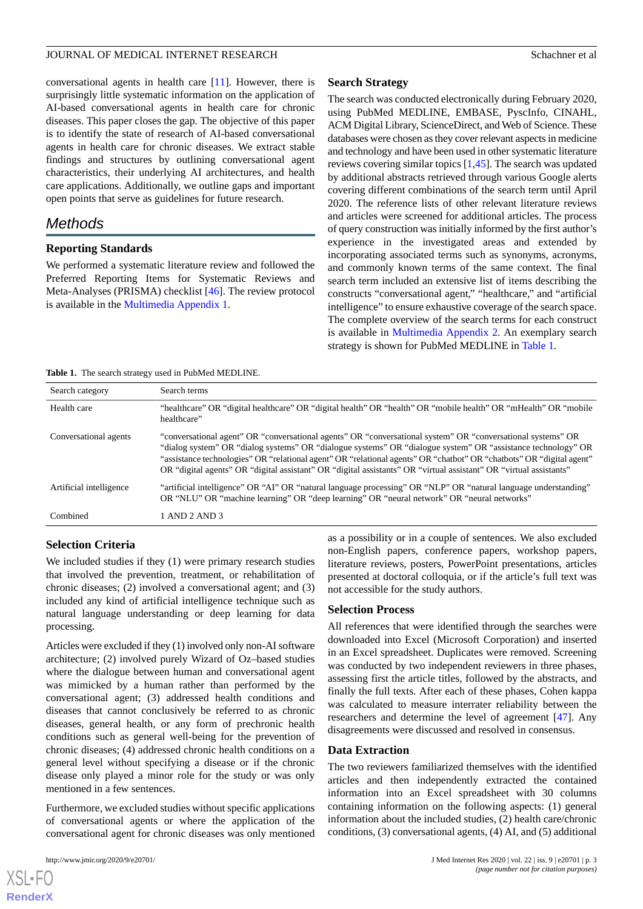conversational agents in health care [[11\]](#page-12-10). However, there is surprisingly little systematic information on the application of AI-based conversational agents in health care for chronic diseases. This paper closes the gap. The objective of this paper is to identify the state of research of AI-based conversational agents in health care for chronic diseases. We extract stable findings and structures by outlining conversational agent characteristics, their underlying AI architectures, and health care applications. Additionally, we outline gaps and important open points that serve as guidelines for future research.

# *Methods*

#### **Reporting Standards**

We performed a systematic literature review and followed the Preferred Reporting Items for Systematic Reviews and Meta-Analyses (PRISMA) checklist [\[46](#page-13-17)]. The review protocol is available in the [Multimedia Appendix 1.](#page-11-0)

#### **Search Strategy**

The search was conducted electronically during February 2020, using PubMed MEDLINE, EMBASE, PyscInfo, CINAHL, ACM Digital Library, ScienceDirect, and Web of Science. These databases were chosen as they cover relevant aspects in medicine and technology and have been used in other systematic literature reviews covering similar topics [[1,](#page-12-0)[45](#page-13-16)]. The search was updated by additional abstracts retrieved through various Google alerts covering different combinations of the search term until April 2020. The reference lists of other relevant literature reviews and articles were screened for additional articles. The process of query construction was initially informed by the first author's experience in the investigated areas and extended by incorporating associated terms such as synonyms, acronyms, and commonly known terms of the same context. The final search term included an extensive list of items describing the constructs "conversational agent," "healthcare," and "artificial intelligence" to ensure exhaustive coverage of the search space. The complete overview of the search terms for each construct is available in [Multimedia Appendix 2.](#page-11-1) An exemplary search strategy is shown for PubMed MEDLINE in [Table 1.](#page-2-0)

<span id="page-2-0"></span>

|  |  |  |  |  | <b>Table 1.</b> The search strategy used in PubMed MEDLINE. |
|--|--|--|--|--|-------------------------------------------------------------|
|--|--|--|--|--|-------------------------------------------------------------|

| Search category         | Search terms                                                                                                                                                                                                                                                                                                                                                                                                                                                             |
|-------------------------|--------------------------------------------------------------------------------------------------------------------------------------------------------------------------------------------------------------------------------------------------------------------------------------------------------------------------------------------------------------------------------------------------------------------------------------------------------------------------|
| Health care             | "healthcare" OR "digital healthcare" OR "digital health" OR "health" OR "mobile health" OR "mHealth" OR "mobile<br>healthcare"                                                                                                                                                                                                                                                                                                                                           |
| Conversational agents   | "conversational agent" OR "conversational agents" OR "conversational system" OR "conversational systems" OR<br>"dialog system" OR "dialog systems" OR "dialogue systems" OR "dialogue system" OR "assistance technology" OR<br>"assistance technologies" OR "relational agent" OR "relational agents" OR "chatbot" OR "chatbots" OR "digital agent"<br>OR "digital agents" OR "digital assistant" OR "digital assistants" OR "virtual assistant" OR "virtual assistants" |
| Artificial intelligence | "artificial intelligence" OR "AI" OR "natural language processing" OR "NLP" OR "natural language understanding"<br>OR "NLU" OR "machine learning" OR "deep learning" OR "neural network" OR "neural networks"                                                                                                                                                                                                                                                            |
| Combined                | 1 AND 2 AND 3                                                                                                                                                                                                                                                                                                                                                                                                                                                            |

# **Selection Criteria**

We included studies if they (1) were primary research studies that involved the prevention, treatment, or rehabilitation of chronic diseases; (2) involved a conversational agent; and (3) included any kind of artificial intelligence technique such as natural language understanding or deep learning for data processing.

Articles were excluded if they (1) involved only non-AI software architecture; (2) involved purely Wizard of Oz–based studies where the dialogue between human and conversational agent was mimicked by a human rather than performed by the conversational agent; (3) addressed health conditions and diseases that cannot conclusively be referred to as chronic diseases, general health, or any form of prechronic health conditions such as general well-being for the prevention of chronic diseases; (4) addressed chronic health conditions on a general level without specifying a disease or if the chronic disease only played a minor role for the study or was only mentioned in a few sentences.

Furthermore, we excluded studies without specific applications of conversational agents or where the application of the conversational agent for chronic diseases was only mentioned

 $XS$  • FO **[RenderX](http://www.renderx.com/)** as a possibility or in a couple of sentences. We also excluded non-English papers, conference papers, workshop papers, literature reviews, posters, PowerPoint presentations, articles presented at doctoral colloquia, or if the article's full text was not accessible for the study authors.

#### **Selection Process**

All references that were identified through the searches were downloaded into Excel (Microsoft Corporation) and inserted in an Excel spreadsheet. Duplicates were removed. Screening was conducted by two independent reviewers in three phases, assessing first the article titles, followed by the abstracts, and finally the full texts. After each of these phases, Cohen kappa was calculated to measure interrater reliability between the researchers and determine the level of agreement [[47\]](#page-13-18). Any disagreements were discussed and resolved in consensus.

#### **Data Extraction**

The two reviewers familiarized themselves with the identified articles and then independently extracted the contained information into an Excel spreadsheet with 30 columns containing information on the following aspects: (1) general information about the included studies, (2) health care/chronic conditions, (3) conversational agents, (4) AI, and (5) additional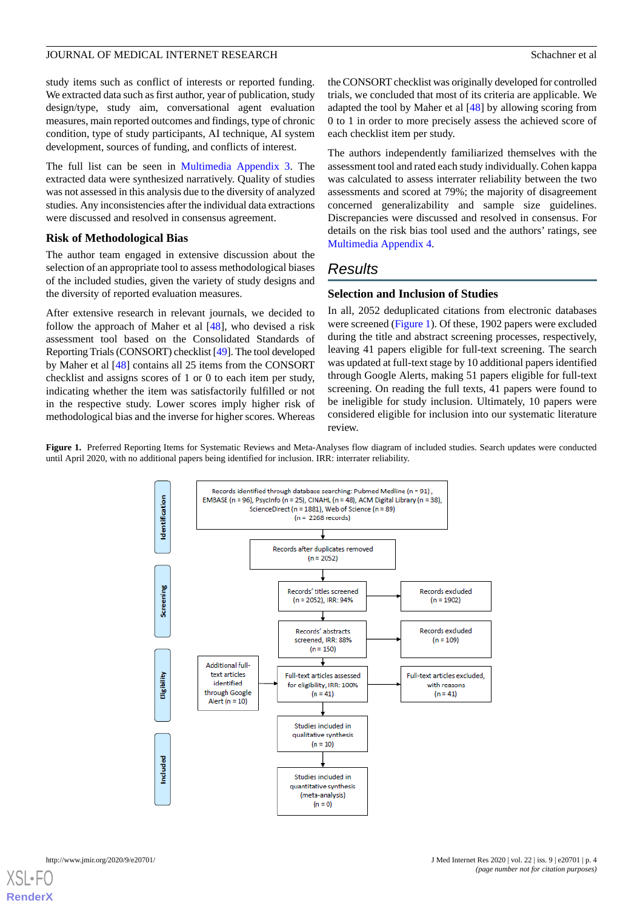study items such as conflict of interests or reported funding. We extracted data such as first author, year of publication, study design/type, study aim, conversational agent evaluation measures, main reported outcomes and findings, type of chronic condition, type of study participants, AI technique, AI system development, sources of funding, and conflicts of interest.

The full list can be seen in [Multimedia Appendix 3.](#page-11-2) The extracted data were synthesized narratively. Quality of studies was not assessed in this analysis due to the diversity of analyzed studies. Any inconsistencies after the individual data extractions were discussed and resolved in consensus agreement.

#### **Risk of Methodological Bias**

The author team engaged in extensive discussion about the selection of an appropriate tool to assess methodological biases of the included studies, given the variety of study designs and the diversity of reported evaluation measures.

After extensive research in relevant journals, we decided to follow the approach of Maher et al  $[48]$  $[48]$ , who devised a risk assessment tool based on the Consolidated Standards of Reporting Trials (CONSORT) checklist [[49](#page-13-20)]. The tool developed by Maher et al [\[48](#page-13-19)] contains all 25 items from the CONSORT checklist and assigns scores of 1 or 0 to each item per study, indicating whether the item was satisfactorily fulfilled or not in the respective study. Lower scores imply higher risk of methodological bias and the inverse for higher scores. Whereas

the CONSORT checklist was originally developed for controlled trials, we concluded that most of its criteria are applicable. We adapted the tool by Maher et al [\[48](#page-13-19)] by allowing scoring from 0 to 1 in order to more precisely assess the achieved score of each checklist item per study.

The authors independently familiarized themselves with the assessment tool and rated each study individually. Cohen kappa was calculated to assess interrater reliability between the two assessments and scored at 79%; the majority of disagreement concerned generalizability and sample size guidelines. Discrepancies were discussed and resolved in consensus. For details on the risk bias tool used and the authors' ratings, see [Multimedia Appendix 4.](#page-12-25)

# *Results*

#### **Selection and Inclusion of Studies**

In all, 2052 deduplicated citations from electronic databases were screened ([Figure 1\)](#page-3-0). Of these, 1902 papers were excluded during the title and abstract screening processes, respectively, leaving 41 papers eligible for full-text screening. The search was updated at full-text stage by 10 additional papers identified through Google Alerts, making 51 papers eligible for full-text screening. On reading the full texts, 41 papers were found to be ineligible for study inclusion. Ultimately, 10 papers were considered eligible for inclusion into our systematic literature review.

<span id="page-3-0"></span>**Figure 1.** Preferred Reporting Items for Systematic Reviews and Meta-Analyses flow diagram of included studies. Search updates were conducted until April 2020, with no additional papers being identified for inclusion. IRR: interrater reliability.

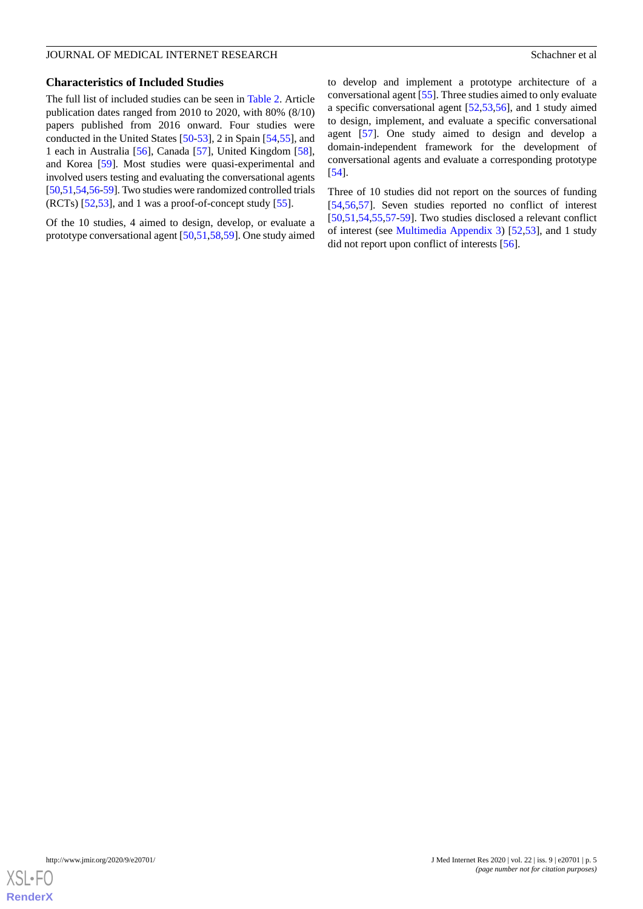#### **Characteristics of Included Studies**

The full list of included studies can be seen in [Table 2.](#page-5-0) Article publication dates ranged from 2010 to 2020, with 80% (8/10) papers published from 2016 onward. Four studies were conducted in the United States [\[50](#page-13-21)-[53\]](#page-14-0), 2 in Spain [[54,](#page-14-1)[55](#page-14-2)], and 1 each in Australia [\[56](#page-14-3)], Canada [\[57](#page-14-4)], United Kingdom [[58\]](#page-14-5), and Korea [[59\]](#page-14-6). Most studies were quasi-experimental and involved users testing and evaluating the conversational agents [[50,](#page-13-21)[51](#page-14-7)[,54](#page-14-1)[,56](#page-14-3)-[59](#page-14-6)]. Two studies were randomized controlled trials (RCTs) [\[52](#page-14-8),[53\]](#page-14-0), and 1 was a proof-of-concept study [\[55](#page-14-2)].

Of the 10 studies, 4 aimed to design, develop, or evaluate a prototype conversational agent [[50,](#page-13-21)[51](#page-14-7),[58,](#page-14-5)[59](#page-14-6)]. One study aimed

to develop and implement a prototype architecture of a conversational agent [\[55](#page-14-2)]. Three studies aimed to only evaluate a specific conversational agent [\[52](#page-14-8),[53,](#page-14-0)[56](#page-14-3)], and 1 study aimed to design, implement, and evaluate a specific conversational agent [[57\]](#page-14-4). One study aimed to design and develop a domain-independent framework for the development of conversational agents and evaluate a corresponding prototype [[54\]](#page-14-1).

Three of 10 studies did not report on the sources of funding [[54,](#page-14-1)[56,](#page-14-3)[57\]](#page-14-4). Seven studies reported no conflict of interest [[50,](#page-13-21)[51,](#page-14-7)[54](#page-14-1)[,55](#page-14-2),[57](#page-14-4)[-59](#page-14-6)]. Two studies disclosed a relevant conflict of interest (see [Multimedia Appendix 3](#page-11-2)) [[52](#page-14-8)[,53](#page-14-0)], and 1 study did not report upon conflict of interests [\[56](#page-14-3)].

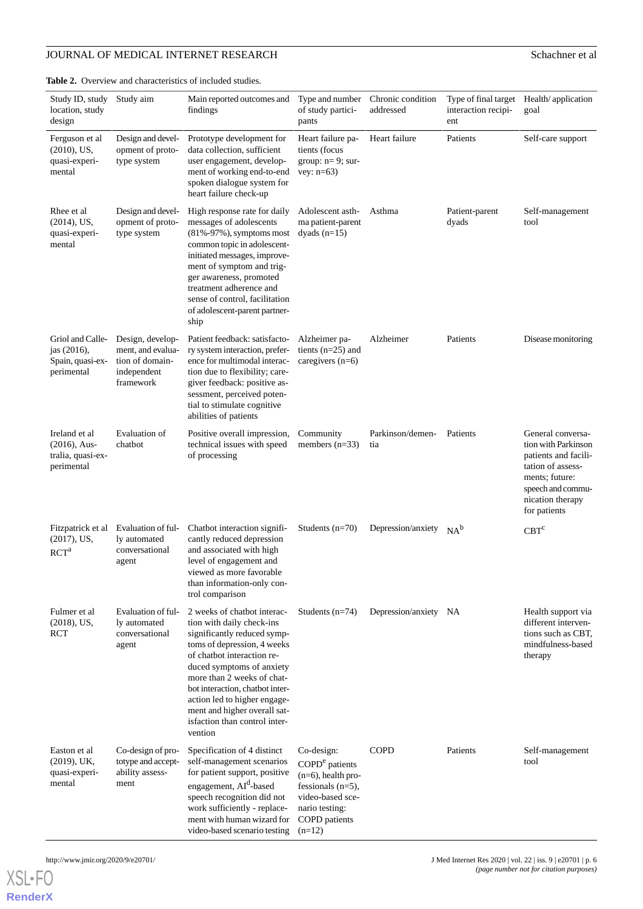# **JOURNAL OF MEDICAL INTERNET RESEARCH** Schachner et al

<span id="page-5-0"></span>**Table 2.** Overview and characteristics of included studies.

| Study ID, study<br>location, study<br>design                        | Study aim                                                                            | Main reported outcomes and<br>findings                                                                                                                                                                                                                                                                           | Type and number<br>of study partici-<br>pants                              | Chronic condition<br>addressed | Type of final target Health/application<br>interaction recipi-<br>ent | goal                                                                                                                                                             |
|---------------------------------------------------------------------|--------------------------------------------------------------------------------------|------------------------------------------------------------------------------------------------------------------------------------------------------------------------------------------------------------------------------------------------------------------------------------------------------------------|----------------------------------------------------------------------------|--------------------------------|-----------------------------------------------------------------------|------------------------------------------------------------------------------------------------------------------------------------------------------------------|
| Ferguson et al<br>$(2010)$ , US,<br>quasi-experi-<br>mental         | Design and devel-<br>opment of proto-<br>type system                                 | Prototype development for<br>data collection, sufficient<br>user engagement, develop-<br>ment of working end-to-end<br>spoken dialogue system for<br>heart failure check-up                                                                                                                                      | Heart failure pa-<br>tients (focus<br>group: $n=9$ ; sur-<br>vey: $n=63$ ) | Heart failure                  | Patients                                                              | Self-care support                                                                                                                                                |
| Rhee et al.<br>$(2014)$ , US,<br>quasi-experi-<br>mental            | Design and devel-<br>opment of proto-<br>type system                                 | High response rate for daily<br>messages of adolescents<br>(81%-97%), symptoms most<br>common topic in adolescent-<br>initiated messages, improve-<br>ment of symptom and trig-<br>ger awareness, promoted<br>treatment adherence and<br>sense of control, facilitation<br>of adolescent-parent partner-<br>ship | Adolescent asth-<br>ma patient-parent<br>dyads $(n=15)$                    | Asthma                         | Patient-parent<br>dyads                                               | Self-management<br>tool                                                                                                                                          |
| Griol and Calle-<br>jas (2016),<br>Spain, quasi-ex-<br>perimental   | Design, develop-<br>ment, and evalua-<br>tion of domain-<br>independent<br>framework | Patient feedback: satisfacto-<br>ry system interaction, prefer-<br>ence for multimodal interac-<br>tion due to flexibility; care-<br>giver feedback: positive as-<br>sessment, perceived poten-<br>tial to stimulate cognitive<br>abilities of patients                                                          | Alzheimer pa-<br>tients $(n=25)$ and<br>caregivers $(n=6)$                 | Alzheimer                      | Patients                                                              | Disease monitoring                                                                                                                                               |
| Ireland et al<br>$(2016)$ , Aus-<br>tralia, quasi-ex-<br>perimental | Evaluation of<br>chatbot                                                             | Positive overall impression,<br>technical issues with speed<br>of processing                                                                                                                                                                                                                                     | Community<br>members $(n=33)$                                              | Parkinson/demen-<br>tia        | Patients                                                              | General conversa-<br>tion with Parkinson<br>patients and facili-<br>tation of assess-<br>ments; future:<br>speech and commu-<br>nication therapy<br>for patients |
| Fitzpatrick et al<br>$(2017)$ , US,<br>RCT <sup>a</sup>             | Evaluation of ful-<br>ly automated<br>conversational<br>agent                        | Chatbot interaction signifi-<br>cantly reduced depression<br>and associated with high<br>level of engagement and                                                                                                                                                                                                 | Students $(n=70)$                                                          | Depression/anxiety             | $NA^b$                                                                | $CBT^c$                                                                                                                                                          |

| RCT <sup>a</sup>                                          | conversational<br>agent                                            | and associated with mgn<br>level of engagement and<br>viewed as more favorable<br>than information-only con-<br>trol comparison                                                                                                                                                                                                                                |                                                                                                                                                              |                    |          |                                                                                                 |
|-----------------------------------------------------------|--------------------------------------------------------------------|----------------------------------------------------------------------------------------------------------------------------------------------------------------------------------------------------------------------------------------------------------------------------------------------------------------------------------------------------------------|--------------------------------------------------------------------------------------------------------------------------------------------------------------|--------------------|----------|-------------------------------------------------------------------------------------------------|
| Fulmer et al<br>$(2018)$ , US,<br>RCT                     | Evaluation of ful-<br>ly automated<br>conversational<br>agent      | 2 weeks of chatbot interac-<br>tion with daily check-ins<br>significantly reduced symp-<br>toms of depression, 4 weeks<br>of chatbot interaction re-<br>duced symptoms of anxiety<br>more than 2 weeks of chat-<br>bot interaction, chatbot inter-<br>action led to higher engage-<br>ment and higher overall sat-<br>isfaction than control inter-<br>vention | Students $(n=74)$                                                                                                                                            | Depression/anxiety | NA       | Health support via<br>different interven-<br>tions such as CBT,<br>mindfulness-based<br>therapy |
| Easton et al<br>$(2019)$ , UK,<br>quasi-experi-<br>mental | Co-design of pro-<br>totype and accept-<br>ability assess-<br>ment | Specification of 4 distinct<br>self-management scenarios<br>for patient support, positive<br>engagement, AI <sup>d</sup> -based<br>speech recognition did not<br>work sufficiently - replace-<br>ment with human wizard for<br>video-based scenario testing                                                                                                    | Co-design:<br>COPD <sup>e</sup> patients<br>$(n=6)$ , health pro-<br>fessionals $(n=5)$ ,<br>video-based sce-<br>nario testing:<br>COPD patients<br>$(n=12)$ | <b>COPD</b>        | Patients | Self-management<br>tool                                                                         |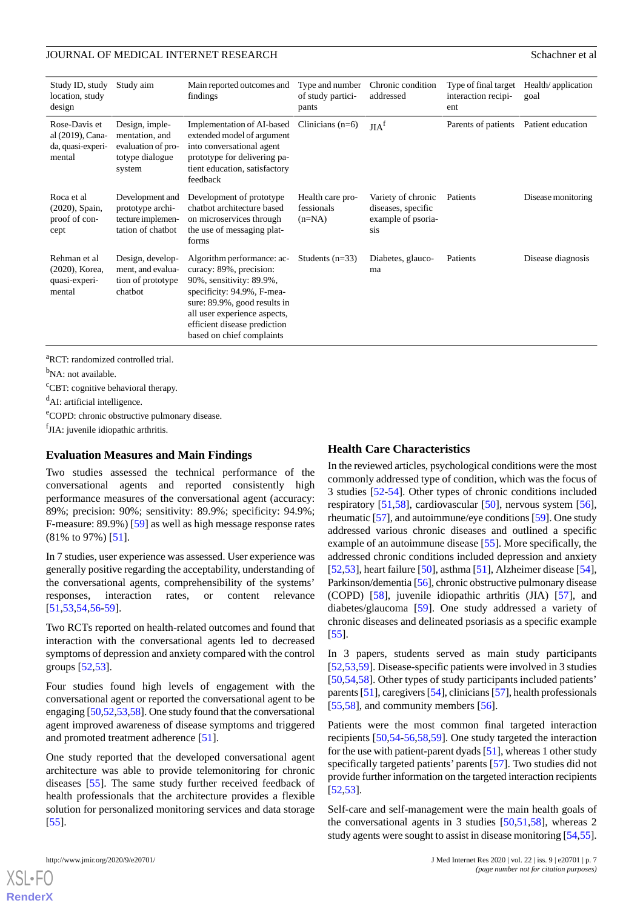| Study ID, study<br>location, study<br>design                     | Study aim                                                                           | Main reported outcomes and<br>findings                                                                                                                                                                                                       | Type and number<br>of study partici-<br>pants | Chronic condition<br>addressed                                        | Type of final target<br>interaction recipi-<br>ent | Health/application<br>goal |
|------------------------------------------------------------------|-------------------------------------------------------------------------------------|----------------------------------------------------------------------------------------------------------------------------------------------------------------------------------------------------------------------------------------------|-----------------------------------------------|-----------------------------------------------------------------------|----------------------------------------------------|----------------------------|
| Rose-Davis et<br>al (2019), Cana-<br>da, quasi-experi-<br>mental | Design, imple-<br>mentation, and<br>evaluation of pro-<br>totype dialogue<br>system | Implementation of AI-based<br>extended model of argument<br>into conversational agent<br>prototype for delivering pa-<br>tient education, satisfactory<br>feedback                                                                           | Clinicians $(n=6)$                            | JIA <sup>f</sup>                                                      | Parents of patients                                | Patient education          |
| Roca et al<br>(2020), Spain,<br>proof of con-<br>cept            | Development and<br>prototype archi-<br>tecture implemen-<br>tation of chatbot       | Development of prototype<br>chatbot architecture based<br>on microservices through<br>the use of messaging plat-<br>forms                                                                                                                    | Health care pro-<br>fessionals<br>$(n=NA)$    | Variety of chronic<br>diseases, specific<br>example of psoria-<br>sis | Patients                                           | Disease monitoring         |
| Rehman et al<br>(2020), Korea,<br>quasi-experi-<br>mental        | Design, develop-<br>ment, and evalua-<br>tion of prototype<br>chatbot               | Algorithm performance: ac-<br>curacy: 89%, precision:<br>90%, sensitivity: 89.9%,<br>specificity: 94.9%, F-mea-<br>sure: 89.9%, good results in<br>all user experience aspects,<br>efficient disease prediction<br>based on chief complaints | Students $(n=33)$                             | Diabetes, glauco-<br>ma                                               | Patients                                           | Disease diagnosis          |

<sup>a</sup>RCT: randomized controlled trial.

<sup>b</sup>NA: not available.

<sup>c</sup>CBT: cognitive behavioral therapy.

<sup>d</sup>AI: artificial intelligence.

<sup>e</sup>COPD: chronic obstructive pulmonary disease.

fJIA: juvenile idiopathic arthritis.

#### **Evaluation Measures and Main Findings**

Two studies assessed the technical performance of the conversational agents and reported consistently high performance measures of the conversational agent (accuracy: 89%; precision: 90%; sensitivity: 89.9%; specificity: 94.9%; F-measure: 89.9%) [\[59](#page-14-6)] as well as high message response rates (81% to 97%) [\[51](#page-14-7)].

In 7 studies, user experience was assessed. User experience was generally positive regarding the acceptability, understanding of the conversational agents, comprehensibility of the systems' responses, interaction rates, or content relevance [[51](#page-14-7)[,53](#page-14-0),[54](#page-14-1)[,56](#page-14-3)-[59\]](#page-14-6).

Two RCTs reported on health-related outcomes and found that interaction with the conversational agents led to decreased symptoms of depression and anxiety compared with the control groups [[52,](#page-14-8)[53](#page-14-0)].

Four studies found high levels of engagement with the conversational agent or reported the conversational agent to be engaging [[50,](#page-13-21)[52](#page-14-8)[,53](#page-14-0)[,58](#page-14-5)]. One study found that the conversational agent improved awareness of disease symptoms and triggered and promoted treatment adherence [[51\]](#page-14-7).

One study reported that the developed conversational agent architecture was able to provide telemonitoring for chronic diseases [[55\]](#page-14-2). The same study further received feedback of health professionals that the architecture provides a flexible solution for personalized monitoring services and data storage [[55\]](#page-14-2).

# **Health Care Characteristics**

In the reviewed articles, psychological conditions were the most commonly addressed type of condition, which was the focus of 3 studies [\[52](#page-14-8)-[54\]](#page-14-1). Other types of chronic conditions included respiratory [\[51](#page-14-7),[58\]](#page-14-5), cardiovascular [\[50](#page-13-21)], nervous system [[56\]](#page-14-3), rheumatic [\[57](#page-14-4)], and autoimmune/eye conditions [[59](#page-14-6)]. One study addressed various chronic diseases and outlined a specific example of an autoimmune disease [[55\]](#page-14-2). More specifically, the addressed chronic conditions included depression and anxiety [[52](#page-14-8)[,53](#page-14-0)], heart failure [\[50](#page-13-21)], asthma [\[51](#page-14-7)], Alzheimer disease [\[54\]](#page-14-1), Parkinson/dementia [\[56](#page-14-3)], chronic obstructive pulmonary disease (COPD) [[58\]](#page-14-5), juvenile idiopathic arthritis (JIA) [[57\]](#page-14-4), and diabetes/glaucoma [[59\]](#page-14-6). One study addressed a variety of chronic diseases and delineated psoriasis as a specific example [[55\]](#page-14-2).

In 3 papers, students served as main study participants [[52,](#page-14-8)[53,](#page-14-0)[59\]](#page-14-6). Disease-specific patients were involved in 3 studies [[50,](#page-13-21)[54,](#page-14-1)[58\]](#page-14-5). Other types of study participants included patients' parents [[51\]](#page-14-7), caregivers [[54](#page-14-1)], clinicians [\[57](#page-14-4)], health professionals [[55,](#page-14-2)[58\]](#page-14-5), and community members [\[56](#page-14-3)].

Patients were the most common final targeted interaction recipients [\[50](#page-13-21),[54-](#page-14-1)[56](#page-14-3),[58,](#page-14-5)[59](#page-14-6)]. One study targeted the interaction for the use with patient-parent dyads [\[51](#page-14-7)], whereas 1 other study specifically targeted patients' parents [[57\]](#page-14-4). Two studies did not provide further information on the targeted interaction recipients [[52,](#page-14-8)[53\]](#page-14-0).

Self-care and self-management were the main health goals of the conversational agents in 3 studies  $[50,51,58]$  $[50,51,58]$  $[50,51,58]$  $[50,51,58]$  $[50,51,58]$ , whereas 2 study agents were sought to assist in disease monitoring [[54,](#page-14-1)[55](#page-14-2)].

```
XSL•FO
RenderX
```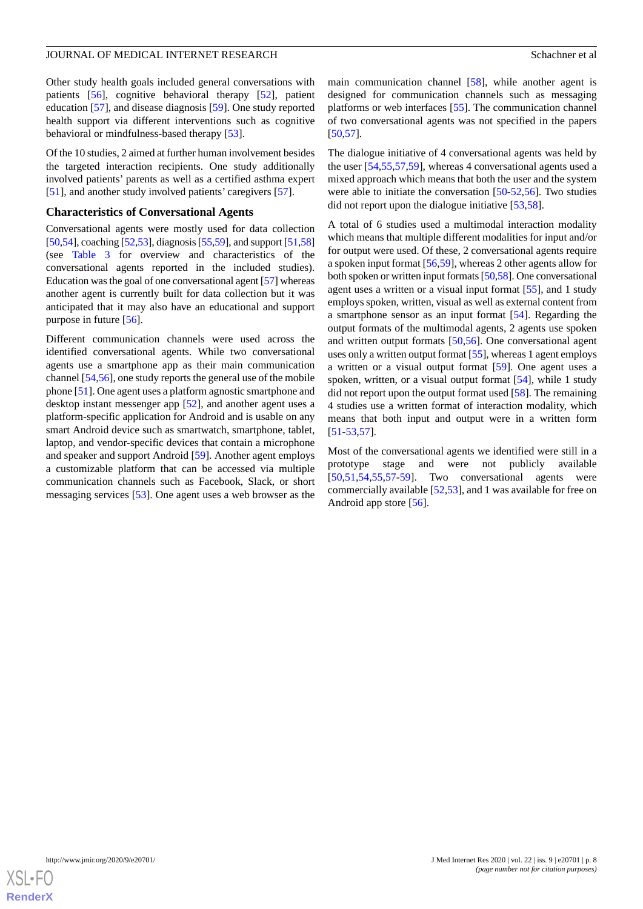Other study health goals included general conversations with patients [\[56](#page-14-3)], cognitive behavioral therapy [\[52](#page-14-8)], patient education [\[57](#page-14-4)], and disease diagnosis [[59\]](#page-14-6). One study reported health support via different interventions such as cognitive behavioral or mindfulness-based therapy [\[53](#page-14-0)].

Of the 10 studies, 2 aimed at further human involvement besides the targeted interaction recipients. One study additionally involved patients' parents as well as a certified asthma expert [[51\]](#page-14-7), and another study involved patients' caregivers [\[57](#page-14-4)].

#### **Characteristics of Conversational Agents**

Conversational agents were mostly used for data collection [[50,](#page-13-21)[54\]](#page-14-1), coaching [\[52](#page-14-8),[53](#page-14-0)], diagnosis [[55](#page-14-2),[59\]](#page-14-6), and support [\[51](#page-14-7),[58](#page-14-5)] (see [Table 3](#page-8-0) for overview and characteristics of the conversational agents reported in the included studies). Education was the goal of one conversational agent [\[57](#page-14-4)] whereas another agent is currently built for data collection but it was anticipated that it may also have an educational and support purpose in future [[56\]](#page-14-3).

Different communication channels were used across the identified conversational agents. While two conversational agents use a smartphone app as their main communication channel [[54](#page-14-1)[,56](#page-14-3)], one study reports the general use of the mobile phone [\[51](#page-14-7)]. One agent uses a platform agnostic smartphone and desktop instant messenger app [[52\]](#page-14-8), and another agent uses a platform-specific application for Android and is usable on any smart Android device such as smartwatch, smartphone, tablet, laptop, and vendor-specific devices that contain a microphone and speaker and support Android [\[59](#page-14-6)]. Another agent employs a customizable platform that can be accessed via multiple communication channels such as Facebook, Slack, or short messaging services [[53\]](#page-14-0). One agent uses a web browser as the

main communication channel [[58\]](#page-14-5), while another agent is designed for communication channels such as messaging platforms or web interfaces [[55\]](#page-14-2). The communication channel of two conversational agents was not specified in the papers [[50,](#page-13-21)[57\]](#page-14-4).

The dialogue initiative of 4 conversational agents was held by the user [[54](#page-14-1)[,55](#page-14-2),[57](#page-14-4)[,59](#page-14-6)], whereas 4 conversational agents used a mixed approach which means that both the user and the system were able to initiate the conversation [[50-](#page-13-21)[52](#page-14-8),[56\]](#page-14-3). Two studies did not report upon the dialogue initiative [[53,](#page-14-0)[58](#page-14-5)].

A total of 6 studies used a multimodal interaction modality which means that multiple different modalities for input and/or for output were used. Of these, 2 conversational agents require a spoken input format [[56](#page-14-3)[,59](#page-14-6)], whereas 2 other agents allow for both spoken or written input formats [[50](#page-13-21)[,58\]](#page-14-5). One conversational agent uses a written or a visual input format [[55\]](#page-14-2), and 1 study employs spoken, written, visual as well as external content from a smartphone sensor as an input format [[54\]](#page-14-1). Regarding the output formats of the multimodal agents, 2 agents use spoken and written output formats [[50,](#page-13-21)[56](#page-14-3)]. One conversational agent uses only a written output format [\[55](#page-14-2)], whereas 1 agent employs a written or a visual output format [\[59](#page-14-6)]. One agent uses a spoken, written, or a visual output format [[54\]](#page-14-1), while 1 study did not report upon the output format used [\[58](#page-14-5)]. The remaining 4 studies use a written format of interaction modality, which means that both input and output were in a written form [[51](#page-14-7)[-53](#page-14-0),[57\]](#page-14-4).

Most of the conversational agents we identified were still in a prototype stage and were not publicly available [[50,](#page-13-21)[51,](#page-14-7)[54](#page-14-1)[,55](#page-14-2),[57](#page-14-4)[-59](#page-14-6)]. Two conversational agents were commercially available [[52](#page-14-8)[,53](#page-14-0)], and 1 was available for free on Android app store [[56\]](#page-14-3).

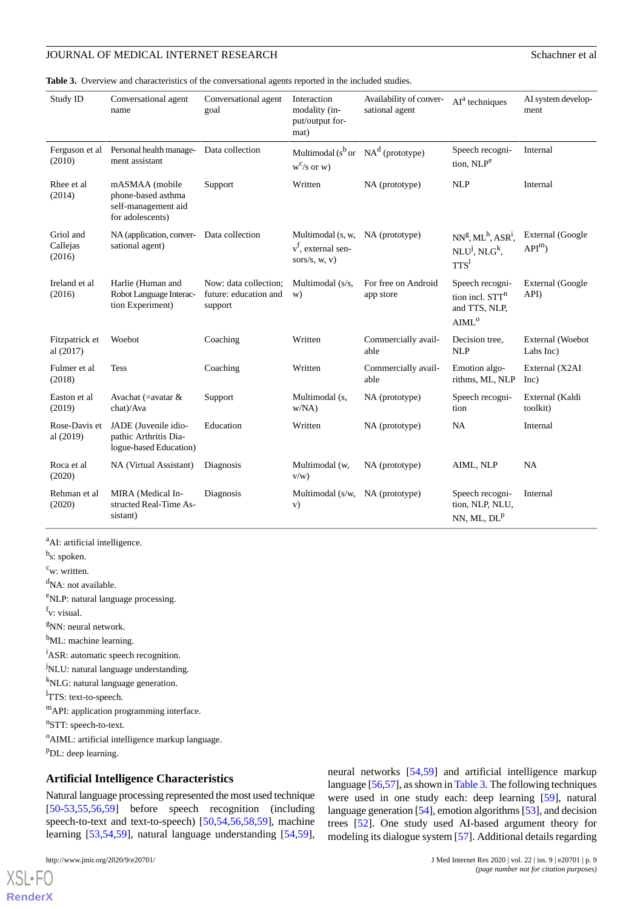<span id="page-8-0"></span>**Table 3.** Overview and characteristics of the conversational agents reported in the included studies.

| Study ID                        | Conversational agent<br>name                                                    | Conversational agent<br>goal                              | Interaction<br>modality (in-<br>put/output for-<br>mat)     | Availability of conver-<br>sational agent | $AIa$ techniques                                                                     | AI system develop-<br>ment    |
|---------------------------------|---------------------------------------------------------------------------------|-----------------------------------------------------------|-------------------------------------------------------------|-------------------------------------------|--------------------------------------------------------------------------------------|-------------------------------|
| Ferguson et al<br>(2010)        | Personal health manage-<br>ment assistant                                       | Data collection                                           | Multimodal ( $s^b$ or $NA^d$ (prototype)<br>$w^{c}/s$ or w) |                                           | Speech recogni-<br>tion, NLP <sup>e</sup>                                            | Internal                      |
| Rhee et al.<br>(2014)           | mASMAA (mobile<br>phone-based asthma<br>self-management aid<br>for adolescents) | Support                                                   | Written                                                     | NA (prototype)                            | <b>NLP</b>                                                                           | Internal                      |
| Griol and<br>Callejas<br>(2016) | NA (application, conver- Data collection<br>sational agent)                     |                                                           | Multimodal (s, w,<br>$vf$ , external sen-<br>sors/s, w, v)  | NA (prototype)                            | $NN^g, ML^h, ASR^i,$<br>$NLU^j, NLG^k,$<br>TTS <sup>1</sup>                          | External (Google<br>$APIm$ )  |
| Ireland et al<br>(2016)         | Harlie (Human and<br>Robot Language Interac-<br>tion Experiment)                | Now: data collection:<br>future: education and<br>support | Multimodal (s/s,<br>w)                                      | For free on Android<br>app store          | Speech recogni-<br>tion incl. STT <sup>n</sup><br>and TTS, NLP,<br>AIML <sup>o</sup> | External (Google<br>API)      |
| Fitzpatrick et<br>al (2017)     | Woebot                                                                          | Coaching                                                  | Written                                                     | Commercially avail-<br>able               | Decision tree,<br><b>NLP</b>                                                         | External (Woebot<br>Labs Inc) |
| Fulmer et al<br>(2018)          | <b>Tess</b>                                                                     | Coaching                                                  | Written                                                     | Commercially avail-<br>able               | Emotion algo-<br>rithms, ML, NLP                                                     | External (X2AI<br>Inc)        |
| Easton et al<br>(2019)          | Avachat (= avatar $\&$<br>chat)/Ava                                             | Support                                                   | Multimodal (s,<br>W/NA)                                     | NA (prototype)                            | Speech recogni-<br>tion                                                              | External (Kaldi<br>toolkit)   |
| Rose-Davis et<br>al (2019)      | JADE (Juvenile idio-<br>pathic Arthritis Dia-<br>logue-based Education)         | Education                                                 | Written                                                     | NA (prototype)                            | <b>NA</b>                                                                            | Internal                      |
| Roca et al<br>(2020)            | NA (Virtual Assistant)                                                          | Diagnosis                                                 | Multimodal (w,<br>$V/W$ )                                   | NA (prototype)                            | AIML, NLP                                                                            | <b>NA</b>                     |
| Rehman et al<br>(2020)          | MIRA (Medical In-<br>structed Real-Time As-<br>sistant)                         | Diagnosis                                                 | Multimodal (s/w, NA (prototype)<br>V)                       |                                           | Speech recogni-<br>tion, NLP, NLU,<br>NN, ML, $DLp$                                  | Internal                      |

<sup>a</sup>AI: artificial intelligence.

<sup>b</sup>s: spoken.

 $c_{w: written.}$ 

<sup>d</sup>NA: not available.

<sup>e</sup>NLP: natural language processing.

f<sub>v: visual.</sub>

 $g$ NN: neural network.

h<sub>ML</sub>: machine learning.

<sup>i</sup>ASR: automatic speech recognition.

<sup>j</sup>NLU: natural language understanding.

<sup>k</sup>NLG: natural language generation.

<sup>1</sup>TTS: text-to-speech.

<sup>m</sup>API: application programming interface.

<sup>n</sup>STT: speech-to-text.

<sup>o</sup>AIML: artificial intelligence markup language.

<sup>p</sup>DL: deep learning.

#### **Artificial Intelligence Characteristics**

Natural language processing represented the most used technique [[50](#page-13-21)[-53](#page-14-0),[55,](#page-14-2)[56](#page-14-3),[59\]](#page-14-6) before speech recognition (including speech-to-text and text-to-speech) [\[50](#page-13-21),[54,](#page-14-1)[56](#page-14-3),[58,](#page-14-5)[59](#page-14-6)], machine learning [[53,](#page-14-0)[54](#page-14-1),[59\]](#page-14-6), natural language understanding [\[54](#page-14-1),[59\]](#page-14-6),

[XSL](http://www.w3.org/Style/XSL)•FO **[RenderX](http://www.renderx.com/)**

language [\[56](#page-14-3)[,57](#page-14-4)], as shown in [Table 3](#page-8-0). The following techniques were used in one study each: deep learning [[59\]](#page-14-6), natural language generation [[54\]](#page-14-1), emotion algorithms [\[53](#page-14-0)], and decision trees [\[52](#page-14-8)]. One study used AI-based argument theory for modeling its dialogue system [\[57](#page-14-4)]. Additional details regarding

neural networks [[54,](#page-14-1)[59](#page-14-6)] and artificial intelligence markup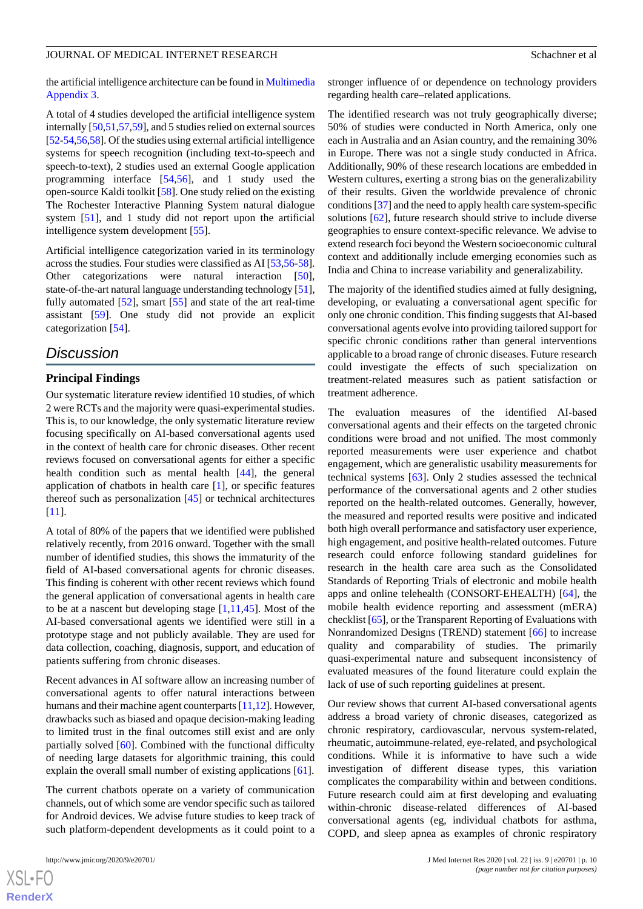the artificial intelligence architecture can be found in [Multimedia](#page-11-2) [Appendix 3.](#page-11-2)

A total of 4 studies developed the artificial intelligence system internally [[50](#page-13-21),[51,](#page-14-7)[57](#page-14-4)[,59](#page-14-6)], and 5 studies relied on external sources [[52-](#page-14-8)[54](#page-14-1)[,56,](#page-14-3)[58\]](#page-14-5). Of the studies using external artificial intelligence systems for speech recognition (including text-to-speech and speech-to-text), 2 studies used an external Google application programming interface [\[54](#page-14-1),[56\]](#page-14-3), and 1 study used the open-source Kaldi toolkit [\[58](#page-14-5)]. One study relied on the existing The Rochester Interactive Planning System natural dialogue system [\[51](#page-14-7)], and 1 study did not report upon the artificial intelligence system development [\[55](#page-14-2)].

Artificial intelligence categorization varied in its terminology across the studies. Four studies were classified as AI [[53](#page-14-0),[56-](#page-14-3)[58\]](#page-14-5). Other categorizations were natural interaction [[50\]](#page-13-21), state-of-the-art natural language understanding technology [\[51\]](#page-14-7), fully automated [\[52](#page-14-8)], smart [\[55](#page-14-2)] and state of the art real-time assistant [[59\]](#page-14-6). One study did not provide an explicit categorization [[54\]](#page-14-1).

# *Discussion*

#### **Principal Findings**

Our systematic literature review identified 10 studies, of which 2 were RCTs and the majority were quasi-experimental studies. This is, to our knowledge, the only systematic literature review focusing specifically on AI-based conversational agents used in the context of health care for chronic diseases. Other recent reviews focused on conversational agents for either a specific health condition such as mental health [\[44](#page-13-15)], the general application of chatbots in health care [\[1](#page-12-0)], or specific features thereof such as personalization [[45\]](#page-13-16) or technical architectures [[11\]](#page-12-10).

A total of 80% of the papers that we identified were published relatively recently, from 2016 onward. Together with the small number of identified studies, this shows the immaturity of the field of AI-based conversational agents for chronic diseases. This finding is coherent with other recent reviews which found the general application of conversational agents in health care to be at a nascent but developing stage [[1,](#page-12-0)[11](#page-12-10),[45\]](#page-13-16). Most of the AI-based conversational agents we identified were still in a prototype stage and not publicly available. They are used for data collection, coaching, diagnosis, support, and education of patients suffering from chronic diseases.

Recent advances in AI software allow an increasing number of conversational agents to offer natural interactions between humans and their machine agent counterparts [\[11](#page-12-10)[,12](#page-12-11)]. However, drawbacks such as biased and opaque decision-making leading to limited trust in the final outcomes still exist and are only partially solved [\[60](#page-14-9)]. Combined with the functional difficulty of needing large datasets for algorithmic training, this could explain the overall small number of existing applications [\[61](#page-14-10)].

The current chatbots operate on a variety of communication channels, out of which some are vendor specific such as tailored for Android devices. We advise future studies to keep track of such platform-dependent developments as it could point to a

 $XS$ -FO **[RenderX](http://www.renderx.com/)** stronger influence of or dependence on technology providers regarding health care–related applications.

The identified research was not truly geographically diverse; 50% of studies were conducted in North America, only one each in Australia and an Asian country, and the remaining 30% in Europe. There was not a single study conducted in Africa. Additionally, 90% of these research locations are embedded in Western cultures, exerting a strong bias on the generalizability of their results. Given the worldwide prevalence of chronic conditions [[37](#page-13-8)] and the need to apply health care system-specific solutions [[62\]](#page-14-11), future research should strive to include diverse geographies to ensure context-specific relevance. We advise to extend research foci beyond the Western socioeconomic cultural context and additionally include emerging economies such as India and China to increase variability and generalizability.

The majority of the identified studies aimed at fully designing, developing, or evaluating a conversational agent specific for only one chronic condition. This finding suggests that AI-based conversational agents evolve into providing tailored support for specific chronic conditions rather than general interventions applicable to a broad range of chronic diseases. Future research could investigate the effects of such specialization on treatment-related measures such as patient satisfaction or treatment adherence.

The evaluation measures of the identified AI-based conversational agents and their effects on the targeted chronic conditions were broad and not unified. The most commonly reported measurements were user experience and chatbot engagement, which are generalistic usability measurements for technical systems [[63\]](#page-14-12). Only 2 studies assessed the technical performance of the conversational agents and 2 other studies reported on the health-related outcomes. Generally, however, the measured and reported results were positive and indicated both high overall performance and satisfactory user experience, high engagement, and positive health-related outcomes. Future research could enforce following standard guidelines for research in the health care area such as the Consolidated Standards of Reporting Trials of electronic and mobile health apps and online telehealth (CONSORT-EHEALTH) [\[64](#page-14-13)], the mobile health evidence reporting and assessment (mERA) checklist [\[65\]](#page-14-14), or the Transparent Reporting of Evaluations with Nonrandomized Designs (TREND) statement [\[66](#page-14-15)] to increase quality and comparability of studies. The primarily quasi-experimental nature and subsequent inconsistency of evaluated measures of the found literature could explain the lack of use of such reporting guidelines at present.

Our review shows that current AI-based conversational agents address a broad variety of chronic diseases, categorized as chronic respiratory, cardiovascular, nervous system-related, rheumatic, autoimmune-related, eye-related, and psychological conditions. While it is informative to have such a wide investigation of different disease types, this variation complicates the comparability within and between conditions. Future research could aim at first developing and evaluating within-chronic disease-related differences of AI-based conversational agents (eg, individual chatbots for asthma, COPD, and sleep apnea as examples of chronic respiratory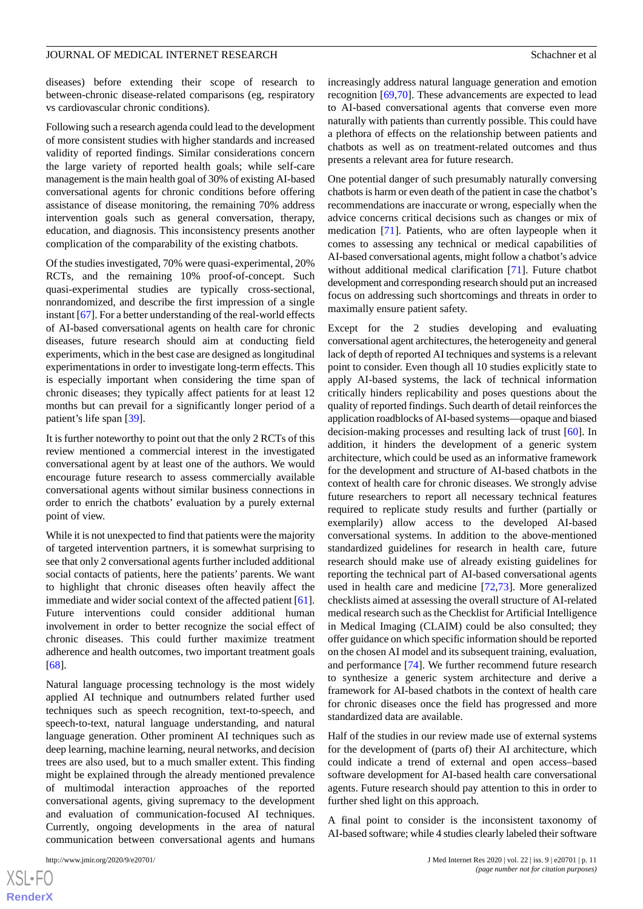diseases) before extending their scope of research to between-chronic disease-related comparisons (eg, respiratory vs cardiovascular chronic conditions).

Following such a research agenda could lead to the development of more consistent studies with higher standards and increased validity of reported findings. Similar considerations concern the large variety of reported health goals; while self-care management is the main health goal of 30% of existing AI-based conversational agents for chronic conditions before offering assistance of disease monitoring, the remaining 70% address intervention goals such as general conversation, therapy, education, and diagnosis. This inconsistency presents another complication of the comparability of the existing chatbots.

Of the studies investigated, 70% were quasi-experimental, 20% RCTs, and the remaining 10% proof-of-concept. Such quasi-experimental studies are typically cross-sectional, nonrandomized, and describe the first impression of a single instant [\[67](#page-14-16)]. For a better understanding of the real-world effects of AI-based conversational agents on health care for chronic diseases, future research should aim at conducting field experiments, which in the best case are designed as longitudinal experimentations in order to investigate long-term effects. This is especially important when considering the time span of chronic diseases; they typically affect patients for at least 12 months but can prevail for a significantly longer period of a patient's life span [[39\]](#page-13-10).

It is further noteworthy to point out that the only 2 RCTs of this review mentioned a commercial interest in the investigated conversational agent by at least one of the authors. We would encourage future research to assess commercially available conversational agents without similar business connections in order to enrich the chatbots' evaluation by a purely external point of view.

While it is not unexpected to find that patients were the majority of targeted intervention partners, it is somewhat surprising to see that only 2 conversational agents further included additional social contacts of patients, here the patients' parents. We want to highlight that chronic diseases often heavily affect the immediate and wider social context of the affected patient [[61\]](#page-14-10). Future interventions could consider additional human involvement in order to better recognize the social effect of chronic diseases. This could further maximize treatment adherence and health outcomes, two important treatment goals [[68\]](#page-14-17).

Natural language processing technology is the most widely applied AI technique and outnumbers related further used techniques such as speech recognition, text-to-speech, and speech-to-text, natural language understanding, and natural language generation. Other prominent AI techniques such as deep learning, machine learning, neural networks, and decision trees are also used, but to a much smaller extent. This finding might be explained through the already mentioned prevalence of multimodal interaction approaches of the reported conversational agents, giving supremacy to the development and evaluation of communication-focused AI techniques. Currently, ongoing developments in the area of natural communication between conversational agents and humans

increasingly address natural language generation and emotion recognition [\[69](#page-14-18),[70\]](#page-14-19). These advancements are expected to lead to AI-based conversational agents that converse even more naturally with patients than currently possible. This could have a plethora of effects on the relationship between patients and chatbots as well as on treatment-related outcomes and thus presents a relevant area for future research.

One potential danger of such presumably naturally conversing chatbots is harm or even death of the patient in case the chatbot's recommendations are inaccurate or wrong, especially when the advice concerns critical decisions such as changes or mix of medication [[71\]](#page-14-20). Patients, who are often laypeople when it comes to assessing any technical or medical capabilities of AI-based conversational agents, might follow a chatbot's advice without additional medical clarification [\[71](#page-14-20)]. Future chatbot development and corresponding research should put an increased focus on addressing such shortcomings and threats in order to maximally ensure patient safety.

Except for the 2 studies developing and evaluating conversational agent architectures, the heterogeneity and general lack of depth of reported AI techniques and systems is a relevant point to consider. Even though all 10 studies explicitly state to apply AI-based systems, the lack of technical information critically hinders replicability and poses questions about the quality of reported findings. Such dearth of detail reinforces the application roadblocks of AI-based systems—opaque and biased decision-making processes and resulting lack of trust [[60\]](#page-14-9). In addition, it hinders the development of a generic system architecture, which could be used as an informative framework for the development and structure of AI-based chatbots in the context of health care for chronic diseases. We strongly advise future researchers to report all necessary technical features required to replicate study results and further (partially or exemplarily) allow access to the developed AI-based conversational systems. In addition to the above-mentioned standardized guidelines for research in health care, future research should make use of already existing guidelines for reporting the technical part of AI-based conversational agents used in health care and medicine [[72](#page-14-21)[,73](#page-14-22)]. More generalized checklists aimed at assessing the overall structure of AI-related medical research such as the Checklist for Artificial Intelligence in Medical Imaging (CLAIM) could be also consulted; they offer guidance on which specific information should be reported on the chosen AI model and its subsequent training, evaluation, and performance [[74\]](#page-15-0). We further recommend future research to synthesize a generic system architecture and derive a framework for AI-based chatbots in the context of health care for chronic diseases once the field has progressed and more standardized data are available.

Half of the studies in our review made use of external systems for the development of (parts of) their AI architecture, which could indicate a trend of external and open access–based software development for AI-based health care conversational agents. Future research should pay attention to this in order to further shed light on this approach.

A final point to consider is the inconsistent taxonomy of AI-based software; while 4 studies clearly labeled their software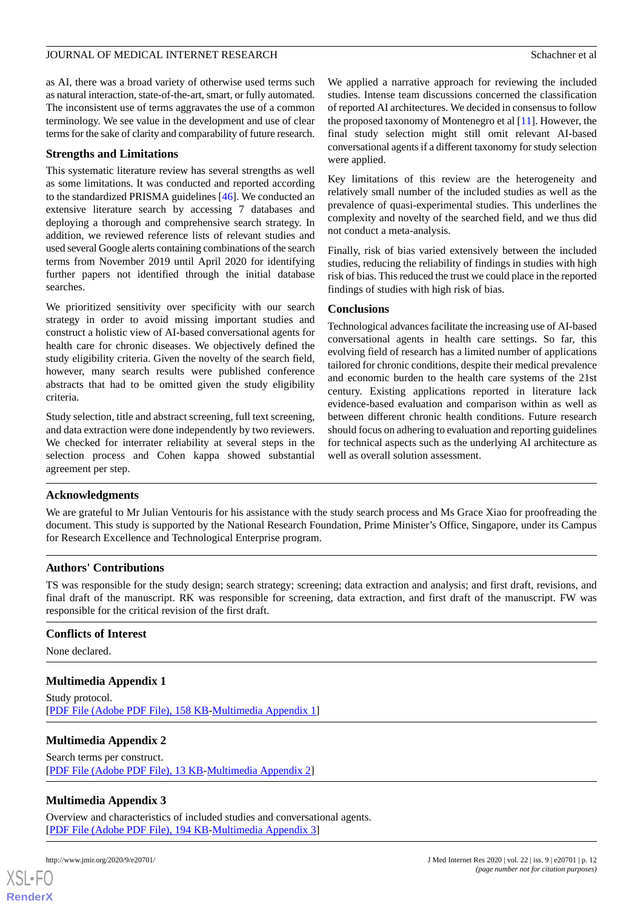as AI, there was a broad variety of otherwise used terms such as natural interaction, state-of-the-art, smart, or fully automated. The inconsistent use of terms aggravates the use of a common terminology. We see value in the development and use of clear terms for the sake of clarity and comparability of future research.

#### **Strengths and Limitations**

This systematic literature review has several strengths as well as some limitations. It was conducted and reported according to the standardized PRISMA guidelines [[46\]](#page-13-17). We conducted an extensive literature search by accessing 7 databases and deploying a thorough and comprehensive search strategy. In addition, we reviewed reference lists of relevant studies and used several Google alerts containing combinations of the search terms from November 2019 until April 2020 for identifying further papers not identified through the initial database searches.

We prioritized sensitivity over specificity with our search strategy in order to avoid missing important studies and construct a holistic view of AI-based conversational agents for health care for chronic diseases. We objectively defined the study eligibility criteria. Given the novelty of the search field, however, many search results were published conference abstracts that had to be omitted given the study eligibility criteria.

Study selection, title and abstract screening, full text screening, and data extraction were done independently by two reviewers. We checked for interrater reliability at several steps in the selection process and Cohen kappa showed substantial agreement per step.

We applied a narrative approach for reviewing the included studies. Intense team discussions concerned the classification of reported AI architectures. We decided in consensus to follow the proposed taxonomy of Montenegro et al [\[11](#page-12-10)]. However, the final study selection might still omit relevant AI-based conversational agents if a different taxonomy for study selection were applied.

Key limitations of this review are the heterogeneity and relatively small number of the included studies as well as the prevalence of quasi-experimental studies. This underlines the complexity and novelty of the searched field, and we thus did not conduct a meta-analysis.

Finally, risk of bias varied extensively between the included studies, reducing the reliability of findings in studies with high risk of bias. This reduced the trust we could place in the reported findings of studies with high risk of bias.

#### **Conclusions**

Technological advances facilitate the increasing use of AI-based conversational agents in health care settings. So far, this evolving field of research has a limited number of applications tailored for chronic conditions, despite their medical prevalence and economic burden to the health care systems of the 21st century. Existing applications reported in literature lack evidence-based evaluation and comparison within as well as between different chronic health conditions. Future research should focus on adhering to evaluation and reporting guidelines for technical aspects such as the underlying AI architecture as well as overall solution assessment.

#### **Acknowledgments**

We are grateful to Mr Julian Ventouris for his assistance with the study search process and Ms Grace Xiao for proofreading the document. This study is supported by the National Research Foundation, Prime Minister's Office, Singapore, under its Campus for Research Excellence and Technological Enterprise program.

#### **Authors' Contributions**

TS was responsible for the study design; search strategy; screening; data extraction and analysis; and first draft, revisions, and final draft of the manuscript. RK was responsible for screening, data extraction, and first draft of the manuscript. FW was responsible for the critical revision of the first draft.

#### <span id="page-11-0"></span>**Conflicts of Interest**

<span id="page-11-1"></span>None declared.

#### **Multimedia Appendix 1**

Study protocol. [[PDF File \(Adobe PDF File\), 158 KB](https://jmir.org/api/download?alt_name=jmir_v22i9e20701_app1.pdf&filename=19d832661d538075d21f2ff62d1fe519.pdf)-[Multimedia Appendix 1\]](https://jmir.org/api/download?alt_name=jmir_v22i9e20701_app1.pdf&filename=19d832661d538075d21f2ff62d1fe519.pdf)

# <span id="page-11-2"></span>**Multimedia Appendix 2**

Search terms per construct. [[PDF File \(Adobe PDF File\), 13 KB](https://jmir.org/api/download?alt_name=jmir_v22i9e20701_app2.pdf&filename=38fd129ae3fc3704be1fe902aad15cb3.pdf)-[Multimedia Appendix 2\]](https://jmir.org/api/download?alt_name=jmir_v22i9e20701_app2.pdf&filename=38fd129ae3fc3704be1fe902aad15cb3.pdf)

# **Multimedia Appendix 3**

Overview and characteristics of included studies and conversational agents. [[PDF File \(Adobe PDF File\), 194 KB](https://jmir.org/api/download?alt_name=jmir_v22i9e20701_app3.pdf&filename=e3c08ba6bbf393f0d88c76ca0aadc301.pdf)-[Multimedia Appendix 3\]](https://jmir.org/api/download?alt_name=jmir_v22i9e20701_app3.pdf&filename=e3c08ba6bbf393f0d88c76ca0aadc301.pdf)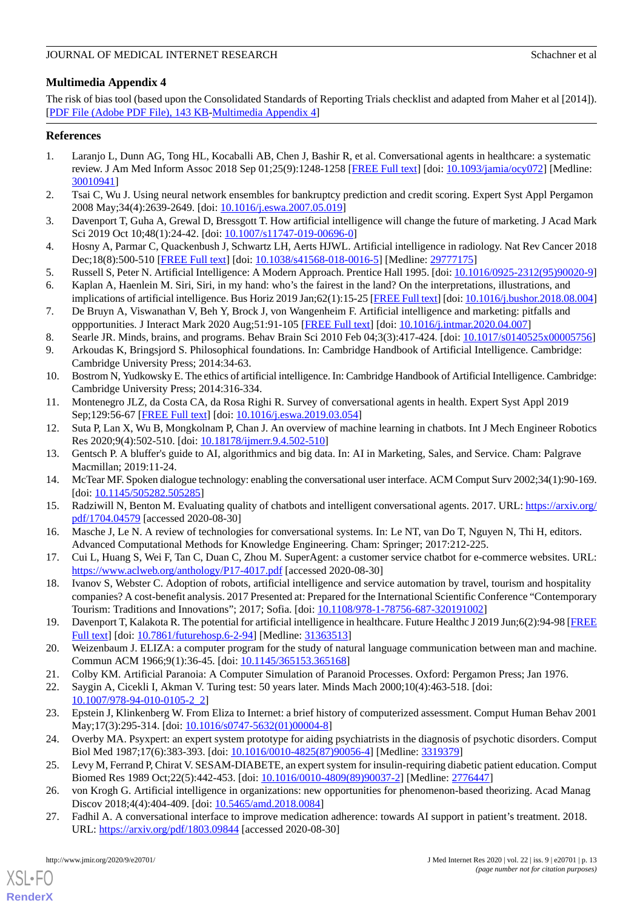# <span id="page-12-25"></span>**Multimedia Appendix 4**

The risk of bias tool (based upon the Consolidated Standards of Reporting Trials checklist and adapted from Maher et al [2014]). [[PDF File \(Adobe PDF File\), 143 KB](https://jmir.org/api/download?alt_name=jmir_v22i9e20701_app4.pdf&filename=af6001c291dac5ef4bbeb7c9328fbdc3.pdf)-[Multimedia Appendix 4\]](https://jmir.org/api/download?alt_name=jmir_v22i9e20701_app4.pdf&filename=af6001c291dac5ef4bbeb7c9328fbdc3.pdf)

### <span id="page-12-0"></span>**References**

- 1. Laranjo L, Dunn AG, Tong HL, Kocaballi AB, Chen J, Bashir R, et al. Conversational agents in healthcare: a systematic review. J Am Med Inform Assoc 2018 Sep 01;25(9):1248-1258 [[FREE Full text](http://europepmc.org/abstract/MED/30010941)] [doi: [10.1093/jamia/ocy072](http://dx.doi.org/10.1093/jamia/ocy072)] [Medline: [30010941](http://www.ncbi.nlm.nih.gov/entrez/query.fcgi?cmd=Retrieve&db=PubMed&list_uids=30010941&dopt=Abstract)]
- <span id="page-12-2"></span><span id="page-12-1"></span>2. Tsai C, Wu J. Using neural network ensembles for bankruptcy prediction and credit scoring. Expert Syst Appl Pergamon 2008 May;34(4):2639-2649. [doi: [10.1016/j.eswa.2007.05.019](http://dx.doi.org/10.1016/j.eswa.2007.05.019)]
- <span id="page-12-3"></span>3. Davenport T, Guha A, Grewal D, Bressgott T. How artificial intelligence will change the future of marketing. J Acad Mark Sci 2019 Oct 10;48(1):24-42. [doi: [10.1007/s11747-019-00696-0](http://dx.doi.org/10.1007/s11747-019-00696-0)]
- <span id="page-12-5"></span><span id="page-12-4"></span>4. Hosny A, Parmar C, Quackenbush J, Schwartz LH, Aerts HJWL. Artificial intelligence in radiology. Nat Rev Cancer 2018 Dec;18(8):500-510 [\[FREE Full text](http://europepmc.org/abstract/MED/29777175)] [doi: [10.1038/s41568-018-0016-5\]](http://dx.doi.org/10.1038/s41568-018-0016-5) [Medline: [29777175\]](http://www.ncbi.nlm.nih.gov/entrez/query.fcgi?cmd=Retrieve&db=PubMed&list_uids=29777175&dopt=Abstract)
- <span id="page-12-6"></span>5. Russell S, Peter N. Artificial Intelligence: A Modern Approach. Prentice Hall 1995. [doi: [10.1016/0925-2312\(95\)90020-9](http://dx.doi.org/10.1016/0925-2312(95)90020-9)] 6. Kaplan A, Haenlein M. Siri, Siri, in my hand: who's the fairest in the land? On the interpretations, illustrations, and
- <span id="page-12-7"></span>implications of artificial intelligence. Bus Horiz 2019 Jan;62(1):15-25 [\[FREE Full text](http://paperpile.com/b/Mk3QOF/rOJR)] [doi: [10.1016/j.bushor.2018.08.004\]](http://dx.doi.org/10.1016/j.bushor.2018.08.004) 7. De Bruyn A, Viswanathan V, Beh Y, Brock J, von Wangenheim F. Artificial intelligence and marketing: pitfalls and
- <span id="page-12-8"></span>oppportunities. J Interact Mark 2020 Aug;51:91-105 [\[FREE Full text\]](https://doi.org/10.1016/j.intmar.2020.04.007) [doi: [10.1016/j.intmar.2020.04.007\]](http://dx.doi.org/10.1016/j.intmar.2020.04.007)
- <span id="page-12-9"></span>8. Searle JR. Minds, brains, and programs. Behav Brain Sci 2010 Feb 04;3(3):417-424. [doi: [10.1017/s0140525x00005756](http://dx.doi.org/10.1017/s0140525x00005756)]
- <span id="page-12-10"></span>9. Arkoudas K, Bringsjord S. Philosophical foundations. In: Cambridge Handbook of Artificial Intelligence. Cambridge: Cambridge University Press; 2014:34-63.
- <span id="page-12-11"></span>10. Bostrom N, Yudkowsky E. The ethics of artificial intelligence. In: Cambridge Handbook of Artificial Intelligence. Cambridge: Cambridge University Press; 2014:316-334.
- <span id="page-12-12"></span>11. Montenegro JLZ, da Costa CA, da Rosa Righi R. Survey of conversational agents in health. Expert Syst Appl 2019 Sep;129:56-67 [\[FREE Full text\]](http://paperpile.com/b/dTKa6R/lJJR) [doi: [10.1016/j.eswa.2019.03.054\]](http://dx.doi.org/10.1016/j.eswa.2019.03.054)
- 12. Suta P, Lan X, Wu B, Mongkolnam P, Chan J. An overview of machine learning in chatbots. Int J Mech Engineer Robotics Res 2020;9(4):502-510. [doi: [10.18178/ijmerr.9.4.502-510\]](http://dx.doi.org/10.18178/ijmerr.9.4.502-510)
- <span id="page-12-13"></span>13. Gentsch P. A bluffer's guide to AI, algorithmics and big data. In: AI in Marketing, Sales, and Service. Cham: Palgrave Macmillan; 2019:11-24.
- <span id="page-12-14"></span>14. McTear MF. Spoken dialogue technology: enabling the conversational user interface. ACM Comput Surv 2002;34(1):90-169. [doi: [10.1145/505282.505285\]](http://dx.doi.org/10.1145/505282.505285)
- <span id="page-12-15"></span>15. Radziwill N, Benton M. Evaluating quality of chatbots and intelligent conversational agents. 2017. URL: [https://arxiv.org/](https://arxiv.org/pdf/1704.04579) [pdf/1704.04579](https://arxiv.org/pdf/1704.04579) [accessed 2020-08-30]
- 16. Masche J, Le N. A review of technologies for conversational systems. In: Le NT, van Do T, Nguyen N, Thi H, editors. Advanced Computational Methods for Knowledge Engineering. Cham: Springer; 2017:212-225.
- <span id="page-12-16"></span>17. Cui L, Huang S, Wei F, Tan C, Duan C, Zhou M. SuperAgent: a customer service chatbot for e-commerce websites. URL: <https://www.aclweb.org/anthology/P17-4017.pdf> [accessed 2020-08-30]
- <span id="page-12-17"></span>18. Ivanov S, Webster C. Adoption of robots, artificial intelligence and service automation by travel, tourism and hospitality companies? A cost-benefit analysis. 2017 Presented at: Prepared for the International Scientific Conference "Contemporary Tourism: Traditions and Innovations"; 2017; Sofia. [doi: [10.1108/978-1-78756-687-320191002\]](http://dx.doi.org/10.1108/978-1-78756-687-320191002)
- <span id="page-12-19"></span><span id="page-12-18"></span>19. Davenport T, Kalakota R. The potential for artificial intelligence in healthcare. Future Healthc J 2019 Jun;6(2):94-98 [\[FREE](http://europepmc.org/abstract/MED/31363513) [Full text\]](http://europepmc.org/abstract/MED/31363513) [doi: [10.7861/futurehosp.6-2-94](http://dx.doi.org/10.7861/futurehosp.6-2-94)] [Medline: [31363513](http://www.ncbi.nlm.nih.gov/entrez/query.fcgi?cmd=Retrieve&db=PubMed&list_uids=31363513&dopt=Abstract)]
- <span id="page-12-20"></span>20. Weizenbaum J. ELIZA: a computer program for the study of natural language communication between man and machine. Commun ACM 1966;9(1):36-45. [doi: [10.1145/365153.365168\]](http://dx.doi.org/10.1145/365153.365168)
- <span id="page-12-21"></span>21. Colby KM. Artificial Paranoia: A Computer Simulation of Paranoid Processes. Oxford: Pergamon Press; Jan 1976.
- <span id="page-12-22"></span>22. Saygin A, Cicekli I, Akman V. Turing test: 50 years later. Minds Mach 2000;10(4):463-518. [doi: [10.1007/978-94-010-0105-2\\_2](http://dx.doi.org/10.1007/978-94-010-0105-2_2)]
- <span id="page-12-23"></span>23. Epstein J, Klinkenberg W. From Eliza to Internet: a brief history of computerized assessment. Comput Human Behav 2001 May;17(3):295-314. [doi: [10.1016/s0747-5632\(01\)00004-8](http://dx.doi.org/10.1016/s0747-5632(01)00004-8)]
- <span id="page-12-24"></span>24. Overby MA. Psyxpert: an expert system prototype for aiding psychiatrists in the diagnosis of psychotic disorders. Comput Biol Med 1987;17(6):383-393. [doi: [10.1016/0010-4825\(87\)90056-4\]](http://dx.doi.org/10.1016/0010-4825(87)90056-4) [Medline: [3319379](http://www.ncbi.nlm.nih.gov/entrez/query.fcgi?cmd=Retrieve&db=PubMed&list_uids=3319379&dopt=Abstract)]
- 25. Levy M, Ferrand P, Chirat V. SESAM-DIABETE, an expert system for insulin-requiring diabetic patient education. Comput Biomed Res 1989 Oct;22(5):442-453. [doi: [10.1016/0010-4809\(89\)90037-2\]](http://dx.doi.org/10.1016/0010-4809(89)90037-2) [Medline: [2776447](http://www.ncbi.nlm.nih.gov/entrez/query.fcgi?cmd=Retrieve&db=PubMed&list_uids=2776447&dopt=Abstract)]
- 26. von Krogh G. Artificial intelligence in organizations: new opportunities for phenomenon-based theorizing. Acad Manag Discov 2018;4(4):404-409. [doi: [10.5465/amd.2018.0084\]](http://dx.doi.org/10.5465/amd.2018.0084)
- 27. Fadhil A. A conversational interface to improve medication adherence: towards AI support in patient's treatment. 2018. URL: <https://arxiv.org/pdf/1803.09844> [accessed 2020-08-30]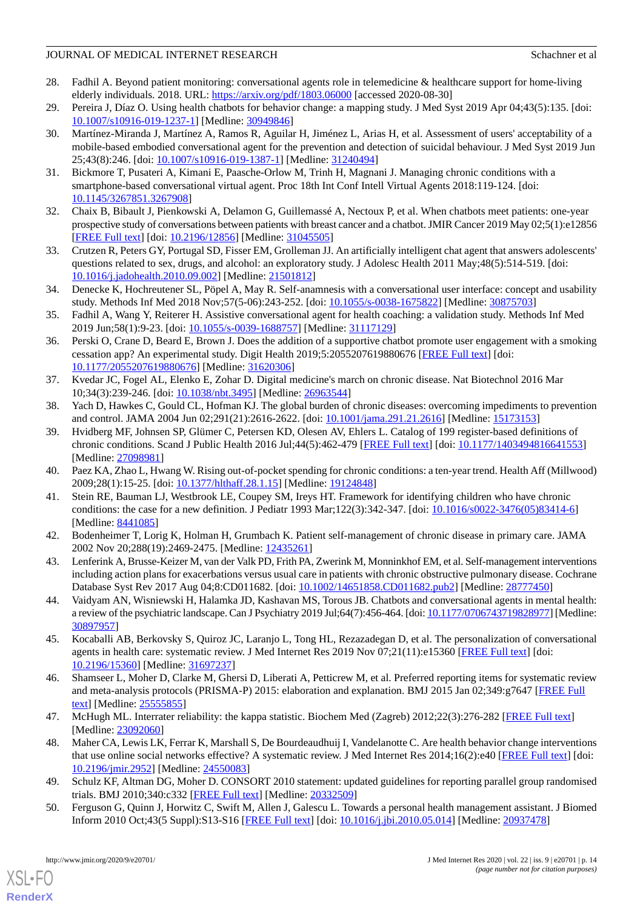- <span id="page-13-0"></span>28. Fadhil A. Beyond patient monitoring: conversational agents role in telemedicine & healthcare support for home-living elderly individuals. 2018. URL:<https://arxiv.org/pdf/1803.06000> [accessed 2020-08-30]
- <span id="page-13-1"></span>29. Pereira J, Díaz O. Using health chatbots for behavior change: a mapping study. J Med Syst 2019 Apr 04;43(5):135. [doi: [10.1007/s10916-019-1237-1\]](http://dx.doi.org/10.1007/s10916-019-1237-1) [Medline: [30949846](http://www.ncbi.nlm.nih.gov/entrez/query.fcgi?cmd=Retrieve&db=PubMed&list_uids=30949846&dopt=Abstract)]
- 30. Martínez-Miranda J, Martínez A, Ramos R, Aguilar H, Jiménez L, Arias H, et al. Assessment of users' acceptability of a mobile-based embodied conversational agent for the prevention and detection of suicidal behaviour. J Med Syst 2019 Jun 25;43(8):246. [doi: [10.1007/s10916-019-1387-1](http://dx.doi.org/10.1007/s10916-019-1387-1)] [Medline: [31240494](http://www.ncbi.nlm.nih.gov/entrez/query.fcgi?cmd=Retrieve&db=PubMed&list_uids=31240494&dopt=Abstract)]
- <span id="page-13-3"></span><span id="page-13-2"></span>31. Bickmore T, Pusateri A, Kimani E, Paasche-Orlow M, Trinh H, Magnani J. Managing chronic conditions with a smartphone-based conversational virtual agent. Proc 18th Int Conf Intell Virtual Agents 2018:119-124. [doi: [10.1145/3267851.3267908](http://dx.doi.org/10.1145/3267851.3267908)]
- <span id="page-13-4"></span>32. Chaix B, Bibault J, Pienkowski A, Delamon G, Guillemassé A, Nectoux P, et al. When chatbots meet patients: one-year prospective study of conversations between patients with breast cancer and a chatbot. JMIR Cancer 2019 May 02;5(1):e12856 [[FREE Full text](https://cancer.jmir.org/2019/1/e12856/)] [doi: [10.2196/12856\]](http://dx.doi.org/10.2196/12856) [Medline: [31045505\]](http://www.ncbi.nlm.nih.gov/entrez/query.fcgi?cmd=Retrieve&db=PubMed&list_uids=31045505&dopt=Abstract)
- <span id="page-13-5"></span>33. Crutzen R, Peters GY, Portugal SD, Fisser EM, Grolleman JJ. An artificially intelligent chat agent that answers adolescents' questions related to sex, drugs, and alcohol: an exploratory study. J Adolesc Health 2011 May;48(5):514-519. [doi: [10.1016/j.jadohealth.2010.09.002](http://dx.doi.org/10.1016/j.jadohealth.2010.09.002)] [Medline: [21501812](http://www.ncbi.nlm.nih.gov/entrez/query.fcgi?cmd=Retrieve&db=PubMed&list_uids=21501812&dopt=Abstract)]
- <span id="page-13-6"></span>34. Denecke K, Hochreutener SL, Pöpel A, May R. Self-anamnesis with a conversational user interface: concept and usability study. Methods Inf Med 2018 Nov;57(5-06):243-252. [doi: [10.1055/s-0038-1675822\]](http://dx.doi.org/10.1055/s-0038-1675822) [Medline: [30875703\]](http://www.ncbi.nlm.nih.gov/entrez/query.fcgi?cmd=Retrieve&db=PubMed&list_uids=30875703&dopt=Abstract)
- <span id="page-13-7"></span>35. Fadhil A, Wang Y, Reiterer H. Assistive conversational agent for health coaching: a validation study. Methods Inf Med 2019 Jun;58(1):9-23. [doi: [10.1055/s-0039-1688757\]](http://dx.doi.org/10.1055/s-0039-1688757) [Medline: [31117129\]](http://www.ncbi.nlm.nih.gov/entrez/query.fcgi?cmd=Retrieve&db=PubMed&list_uids=31117129&dopt=Abstract)
- <span id="page-13-8"></span>36. Perski O, Crane D, Beard E, Brown J. Does the addition of a supportive chatbot promote user engagement with a smoking cessation app? An experimental study. Digit Health 2019;5:2055207619880676 [[FREE Full text](http://europepmc.org/abstract/MED/31620306)] [doi: [10.1177/2055207619880676\]](http://dx.doi.org/10.1177/2055207619880676) [Medline: [31620306\]](http://www.ncbi.nlm.nih.gov/entrez/query.fcgi?cmd=Retrieve&db=PubMed&list_uids=31620306&dopt=Abstract)
- <span id="page-13-10"></span><span id="page-13-9"></span>37. Kvedar JC, Fogel AL, Elenko E, Zohar D. Digital medicine's march on chronic disease. Nat Biotechnol 2016 Mar 10;34(3):239-246. [doi: [10.1038/nbt.3495](http://dx.doi.org/10.1038/nbt.3495)] [Medline: [26963544\]](http://www.ncbi.nlm.nih.gov/entrez/query.fcgi?cmd=Retrieve&db=PubMed&list_uids=26963544&dopt=Abstract)
- 38. Yach D, Hawkes C, Gould CL, Hofman KJ. The global burden of chronic diseases: overcoming impediments to prevention and control. JAMA 2004 Jun 02;291(21):2616-2622. [doi: [10.1001/jama.291.21.2616\]](http://dx.doi.org/10.1001/jama.291.21.2616) [Medline: [15173153\]](http://www.ncbi.nlm.nih.gov/entrez/query.fcgi?cmd=Retrieve&db=PubMed&list_uids=15173153&dopt=Abstract)
- <span id="page-13-12"></span><span id="page-13-11"></span>39. Hvidberg MF, Johnsen SP, Glümer C, Petersen KD, Olesen AV, Ehlers L. Catalog of 199 register-based definitions of chronic conditions. Scand J Public Health 2016 Jul;44(5):462-479 [[FREE Full text](http://europepmc.org/abstract/MED/27098981)] [doi: [10.1177/1403494816641553\]](http://dx.doi.org/10.1177/1403494816641553) [Medline: [27098981](http://www.ncbi.nlm.nih.gov/entrez/query.fcgi?cmd=Retrieve&db=PubMed&list_uids=27098981&dopt=Abstract)]
- <span id="page-13-13"></span>40. Paez KA, Zhao L, Hwang W. Rising out-of-pocket spending for chronic conditions: a ten-year trend. Health Aff (Millwood) 2009;28(1):15-25. [doi: [10.1377/hlthaff.28.1.15\]](http://dx.doi.org/10.1377/hlthaff.28.1.15) [Medline: [19124848](http://www.ncbi.nlm.nih.gov/entrez/query.fcgi?cmd=Retrieve&db=PubMed&list_uids=19124848&dopt=Abstract)]
- <span id="page-13-14"></span>41. Stein RE, Bauman LJ, Westbrook LE, Coupey SM, Ireys HT. Framework for identifying children who have chronic conditions: the case for a new definition. J Pediatr 1993 Mar;122(3):342-347. [doi: [10.1016/s0022-3476\(05\)83414-6](http://dx.doi.org/10.1016/s0022-3476(05)83414-6)] [Medline: [8441085\]](http://www.ncbi.nlm.nih.gov/entrez/query.fcgi?cmd=Retrieve&db=PubMed&list_uids=8441085&dopt=Abstract)
- <span id="page-13-15"></span>42. Bodenheimer T, Lorig K, Holman H, Grumbach K. Patient self-management of chronic disease in primary care. JAMA 2002 Nov 20;288(19):2469-2475. [Medline: [12435261](http://www.ncbi.nlm.nih.gov/entrez/query.fcgi?cmd=Retrieve&db=PubMed&list_uids=12435261&dopt=Abstract)]
- <span id="page-13-16"></span>43. Lenferink A, Brusse-Keizer M, van der Valk PD, Frith PA, Zwerink M, Monninkhof EM, et al. Self-management interventions including action plans for exacerbations versus usual care in patients with chronic obstructive pulmonary disease. Cochrane Database Syst Rev 2017 Aug 04;8:CD011682. [doi: [10.1002/14651858.CD011682.pub2\]](http://dx.doi.org/10.1002/14651858.CD011682.pub2) [Medline: [28777450\]](http://www.ncbi.nlm.nih.gov/entrez/query.fcgi?cmd=Retrieve&db=PubMed&list_uids=28777450&dopt=Abstract)
- <span id="page-13-17"></span>44. Vaidyam AN, Wisniewski H, Halamka JD, Kashavan MS, Torous JB. Chatbots and conversational agents in mental health: a review of the psychiatric landscape. Can J Psychiatry 2019 Jul;64(7):456-464. [doi: [10.1177/0706743719828977\]](http://dx.doi.org/10.1177/0706743719828977) [Medline: [30897957](http://www.ncbi.nlm.nih.gov/entrez/query.fcgi?cmd=Retrieve&db=PubMed&list_uids=30897957&dopt=Abstract)]
- <span id="page-13-18"></span>45. Kocaballi AB, Berkovsky S, Quiroz JC, Laranjo L, Tong HL, Rezazadegan D, et al. The personalization of conversational agents in health care: systematic review. J Med Internet Res 2019 Nov 07;21(11):e15360 [\[FREE Full text\]](https://www.jmir.org/2019/11/e15360/) [doi: [10.2196/15360\]](http://dx.doi.org/10.2196/15360) [Medline: [31697237\]](http://www.ncbi.nlm.nih.gov/entrez/query.fcgi?cmd=Retrieve&db=PubMed&list_uids=31697237&dopt=Abstract)
- <span id="page-13-19"></span>46. Shamseer L, Moher D, Clarke M, Ghersi D, Liberati A, Petticrew M, et al. Preferred reporting items for systematic review and meta-analysis protocols (PRISMA-P) 2015: elaboration and explanation. BMJ 2015 Jan 02;349:g7647 [[FREE Full](http://www.bmj.com/cgi/pmidlookup?view=long&pmid=25555855) [text](http://www.bmj.com/cgi/pmidlookup?view=long&pmid=25555855)] [Medline: [25555855](http://www.ncbi.nlm.nih.gov/entrez/query.fcgi?cmd=Retrieve&db=PubMed&list_uids=25555855&dopt=Abstract)]
- <span id="page-13-21"></span><span id="page-13-20"></span>47. McHugh ML. Interrater reliability: the kappa statistic. Biochem Med (Zagreb) 2012;22(3):276-282 [\[FREE Full text\]](http://www.pubmedcentral.nih.gov/articlerender.fcgi?artid=3900052&tool=pmcentrez&rendertype=abstract) [Medline: [23092060](http://www.ncbi.nlm.nih.gov/entrez/query.fcgi?cmd=Retrieve&db=PubMed&list_uids=23092060&dopt=Abstract)]
- 48. Maher CA, Lewis LK, Ferrar K, Marshall S, De Bourdeaudhuij I, Vandelanotte C. Are health behavior change interventions that use online social networks effective? A systematic review. J Med Internet Res 2014;16(2):e40 [[FREE Full text](http://www.jmir.org/2014/2/e40/)] [doi: [10.2196/jmir.2952](http://dx.doi.org/10.2196/jmir.2952)] [Medline: [24550083](http://www.ncbi.nlm.nih.gov/entrez/query.fcgi?cmd=Retrieve&db=PubMed&list_uids=24550083&dopt=Abstract)]
- 49. Schulz KF, Altman DG, Moher D. CONSORT 2010 statement: updated guidelines for reporting parallel group randomised trials. BMJ 2010;340:c332 [\[FREE Full text\]](http://europepmc.org/abstract/MED/20332509) [Medline: [20332509\]](http://www.ncbi.nlm.nih.gov/entrez/query.fcgi?cmd=Retrieve&db=PubMed&list_uids=20332509&dopt=Abstract)
- 50. Ferguson G, Quinn J, Horwitz C, Swift M, Allen J, Galescu L. Towards a personal health management assistant. J Biomed Inform 2010 Oct;43(5 Suppl):S13-S16 [\[FREE Full text\]](https://linkinghub.elsevier.com/retrieve/pii/S1532-0464(10)00083-3) [doi: [10.1016/j.jbi.2010.05.014](http://dx.doi.org/10.1016/j.jbi.2010.05.014)] [Medline: [20937478](http://www.ncbi.nlm.nih.gov/entrez/query.fcgi?cmd=Retrieve&db=PubMed&list_uids=20937478&dopt=Abstract)]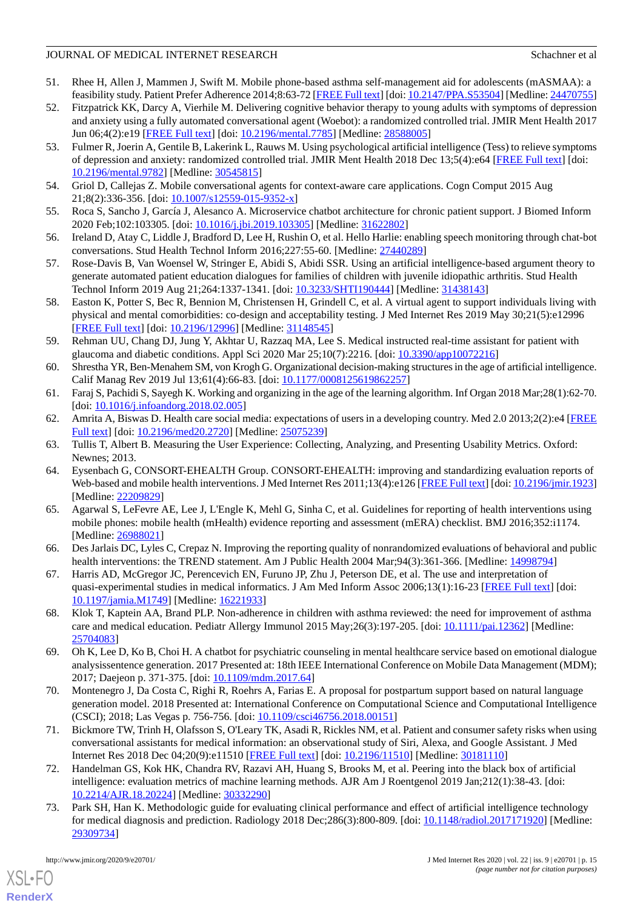- <span id="page-14-7"></span>51. Rhee H, Allen J, Mammen J, Swift M. Mobile phone-based asthma self-management aid for adolescents (mASMAA): a feasibility study. Patient Prefer Adherence 2014;8:63-72 [\[FREE Full text\]](https://dx.doi.org/10.2147/PPA.S53504) [doi: [10.2147/PPA.S53504](http://dx.doi.org/10.2147/PPA.S53504)] [Medline: [24470755](http://www.ncbi.nlm.nih.gov/entrez/query.fcgi?cmd=Retrieve&db=PubMed&list_uids=24470755&dopt=Abstract)]
- <span id="page-14-8"></span>52. Fitzpatrick KK, Darcy A, Vierhile M. Delivering cognitive behavior therapy to young adults with symptoms of depression and anxiety using a fully automated conversational agent (Woebot): a randomized controlled trial. JMIR Ment Health 2017 Jun 06;4(2):e19 [\[FREE Full text\]](http://mental.jmir.org/2017/2/e19/) [doi: [10.2196/mental.7785](http://dx.doi.org/10.2196/mental.7785)] [Medline: [28588005\]](http://www.ncbi.nlm.nih.gov/entrez/query.fcgi?cmd=Retrieve&db=PubMed&list_uids=28588005&dopt=Abstract)
- <span id="page-14-0"></span>53. Fulmer R, Joerin A, Gentile B, Lakerink L, Rauws M. Using psychological artificial intelligence (Tess) to relieve symptoms of depression and anxiety: randomized controlled trial. JMIR Ment Health 2018 Dec 13;5(4):e64 [[FREE Full text](http://mental.jmir.org/2018/4/e64/)] [doi: [10.2196/mental.9782\]](http://dx.doi.org/10.2196/mental.9782) [Medline: [30545815](http://www.ncbi.nlm.nih.gov/entrez/query.fcgi?cmd=Retrieve&db=PubMed&list_uids=30545815&dopt=Abstract)]
- <span id="page-14-2"></span><span id="page-14-1"></span>54. Griol D, Callejas Z. Mobile conversational agents for context-aware care applications. Cogn Comput 2015 Aug 21;8(2):336-356. [doi: [10.1007/s12559-015-9352-x\]](http://dx.doi.org/10.1007/s12559-015-9352-x)
- <span id="page-14-3"></span>55. Roca S, Sancho J, García J, Alesanco A. Microservice chatbot architecture for chronic patient support. J Biomed Inform 2020 Feb;102:103305. [doi: [10.1016/j.jbi.2019.103305](http://dx.doi.org/10.1016/j.jbi.2019.103305)] [Medline: [31622802\]](http://www.ncbi.nlm.nih.gov/entrez/query.fcgi?cmd=Retrieve&db=PubMed&list_uids=31622802&dopt=Abstract)
- <span id="page-14-4"></span>56. Ireland D, Atay C, Liddle J, Bradford D, Lee H, Rushin O, et al. Hello Harlie: enabling speech monitoring through chat-bot conversations. Stud Health Technol Inform 2016;227:55-60. [Medline: [27440289\]](http://www.ncbi.nlm.nih.gov/entrez/query.fcgi?cmd=Retrieve&db=PubMed&list_uids=27440289&dopt=Abstract)
- <span id="page-14-5"></span>57. Rose-Davis B, Van Woensel W, Stringer E, Abidi S, Abidi SSR. Using an artificial intelligence-based argument theory to generate automated patient education dialogues for families of children with juvenile idiopathic arthritis. Stud Health Technol Inform 2019 Aug 21;264:1337-1341. [doi: [10.3233/SHTI190444](http://dx.doi.org/10.3233/SHTI190444)] [Medline: [31438143](http://www.ncbi.nlm.nih.gov/entrez/query.fcgi?cmd=Retrieve&db=PubMed&list_uids=31438143&dopt=Abstract)]
- <span id="page-14-6"></span>58. Easton K, Potter S, Bec R, Bennion M, Christensen H, Grindell C, et al. A virtual agent to support individuals living with physical and mental comorbidities: co-design and acceptability testing. J Med Internet Res 2019 May 30;21(5):e12996 [[FREE Full text](https://www.jmir.org/2019/5/e12996/)] [doi: [10.2196/12996\]](http://dx.doi.org/10.2196/12996) [Medline: [31148545\]](http://www.ncbi.nlm.nih.gov/entrez/query.fcgi?cmd=Retrieve&db=PubMed&list_uids=31148545&dopt=Abstract)
- <span id="page-14-9"></span>59. Rehman UU, Chang DJ, Jung Y, Akhtar U, Razzaq MA, Lee S. Medical instructed real-time assistant for patient with glaucoma and diabetic conditions. Appl Sci 2020 Mar 25;10(7):2216. [doi: [10.3390/app10072216](http://dx.doi.org/10.3390/app10072216)]
- <span id="page-14-11"></span><span id="page-14-10"></span>60. Shrestha YR, Ben-Menahem SM, von Krogh G. Organizational decision-making structures in the age of artificial intelligence. Calif Manag Rev 2019 Jul 13;61(4):66-83. [doi: [10.1177/0008125619862257](http://dx.doi.org/10.1177/0008125619862257)]
- <span id="page-14-12"></span>61. Faraj S, Pachidi S, Sayegh K. Working and organizing in the age of the learning algorithm. Inf Organ 2018 Mar;28(1):62-70. [doi: [10.1016/j.infoandorg.2018.02.005\]](http://dx.doi.org/10.1016/j.infoandorg.2018.02.005)
- <span id="page-14-13"></span>62. Amrita A, Biswas D. Health care social media: expectations of users in a developing country. Med 2.0 2013;2(2):e4 [\[FREE](https://www.medicine20.com/2013/2/e4/) [Full text\]](https://www.medicine20.com/2013/2/e4/) [doi: [10.2196/med20.2720](http://dx.doi.org/10.2196/med20.2720)] [Medline: [25075239\]](http://www.ncbi.nlm.nih.gov/entrez/query.fcgi?cmd=Retrieve&db=PubMed&list_uids=25075239&dopt=Abstract)
- 63. Tullis T, Albert B. Measuring the User Experience: Collecting, Analyzing, and Presenting Usability Metrics. Oxford: Newnes; 2013.
- <span id="page-14-14"></span>64. Eysenbach G, CONSORT-EHEALTH Group. CONSORT-EHEALTH: improving and standardizing evaluation reports of Web-based and mobile health interventions. J Med Internet Res 2011;13(4):e126 [[FREE Full text](http://www.jmir.org/2011/4/e126/)] [doi: [10.2196/jmir.1923](http://dx.doi.org/10.2196/jmir.1923)] [Medline: [22209829](http://www.ncbi.nlm.nih.gov/entrez/query.fcgi?cmd=Retrieve&db=PubMed&list_uids=22209829&dopt=Abstract)]
- <span id="page-14-16"></span><span id="page-14-15"></span>65. Agarwal S, LeFevre AE, Lee J, L'Engle K, Mehl G, Sinha C, et al. Guidelines for reporting of health interventions using mobile phones: mobile health (mHealth) evidence reporting and assessment (mERA) checklist. BMJ 2016;352:i1174. [Medline: [26988021](http://www.ncbi.nlm.nih.gov/entrez/query.fcgi?cmd=Retrieve&db=PubMed&list_uids=26988021&dopt=Abstract)]
- <span id="page-14-17"></span>66. Des Jarlais DC, Lyles C, Crepaz N. Improving the reporting quality of nonrandomized evaluations of behavioral and public health interventions: the TREND statement. Am J Public Health 2004 Mar;94(3):361-366. [Medline: [14998794](http://www.ncbi.nlm.nih.gov/entrez/query.fcgi?cmd=Retrieve&db=PubMed&list_uids=14998794&dopt=Abstract)]
- <span id="page-14-18"></span>67. Harris AD, McGregor JC, Perencevich EN, Furuno JP, Zhu J, Peterson DE, et al. The use and interpretation of quasi-experimental studies in medical informatics. J Am Med Inform Assoc 2006;13(1):16-23 [\[FREE Full text\]](http://jamia.oxfordjournals.org/cgi/pmidlookup?view=long&pmid=16221933) [doi: [10.1197/jamia.M1749](http://dx.doi.org/10.1197/jamia.M1749)] [Medline: [16221933](http://www.ncbi.nlm.nih.gov/entrez/query.fcgi?cmd=Retrieve&db=PubMed&list_uids=16221933&dopt=Abstract)]
- <span id="page-14-19"></span>68. Klok T, Kaptein AA, Brand PLP. Non-adherence in children with asthma reviewed: the need for improvement of asthma care and medical education. Pediatr Allergy Immunol 2015 May;26(3):197-205. [doi: [10.1111/pai.12362](http://dx.doi.org/10.1111/pai.12362)] [Medline: [25704083](http://www.ncbi.nlm.nih.gov/entrez/query.fcgi?cmd=Retrieve&db=PubMed&list_uids=25704083&dopt=Abstract)]
- <span id="page-14-20"></span>69. Oh K, Lee D, Ko B, Choi H. A chatbot for psychiatric counseling in mental healthcare service based on emotional dialogue analysissentence generation. 2017 Presented at: 18th IEEE International Conference on Mobile Data Management (MDM); 2017; Daejeon p. 371-375. [doi: [10.1109/mdm.2017.64](http://dx.doi.org/10.1109/mdm.2017.64)]
- <span id="page-14-21"></span>70. Montenegro J, Da Costa C, Righi R, Roehrs A, Farias E. A proposal for postpartum support based on natural language generation model. 2018 Presented at: International Conference on Computational Science and Computational Intelligence (CSCI); 2018; Las Vegas p. 756-756. [doi: [10.1109/csci46756.2018.00151\]](http://dx.doi.org/10.1109/csci46756.2018.00151)
- <span id="page-14-22"></span>71. Bickmore TW, Trinh H, Olafsson S, O'Leary TK, Asadi R, Rickles NM, et al. Patient and consumer safety risks when using conversational assistants for medical information: an observational study of Siri, Alexa, and Google Assistant. J Med Internet Res 2018 Dec 04;20(9):e11510 [\[FREE Full text\]](http://www.jmir.org/2018/9/e11510/) [doi: [10.2196/11510](http://dx.doi.org/10.2196/11510)] [Medline: [30181110\]](http://www.ncbi.nlm.nih.gov/entrez/query.fcgi?cmd=Retrieve&db=PubMed&list_uids=30181110&dopt=Abstract)
- 72. Handelman GS, Kok HK, Chandra RV, Razavi AH, Huang S, Brooks M, et al. Peering into the black box of artificial intelligence: evaluation metrics of machine learning methods. AJR Am J Roentgenol 2019 Jan;212(1):38-43. [doi: [10.2214/AJR.18.20224\]](http://dx.doi.org/10.2214/AJR.18.20224) [Medline: [30332290](http://www.ncbi.nlm.nih.gov/entrez/query.fcgi?cmd=Retrieve&db=PubMed&list_uids=30332290&dopt=Abstract)]
- 73. Park SH, Han K. Methodologic guide for evaluating clinical performance and effect of artificial intelligence technology for medical diagnosis and prediction. Radiology 2018 Dec;286(3):800-809. [doi: [10.1148/radiol.2017171920](http://dx.doi.org/10.1148/radiol.2017171920)] [Medline: [29309734](http://www.ncbi.nlm.nih.gov/entrez/query.fcgi?cmd=Retrieve&db=PubMed&list_uids=29309734&dopt=Abstract)]